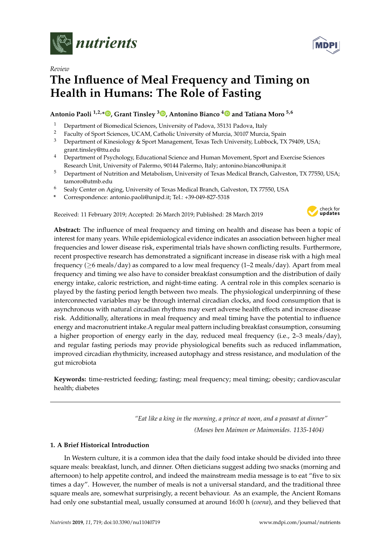

*Review*

# **The Influence of Meal Frequency and Timing on Health in Humans: The Role of Fasting**

## **Antonio Paoli 1,2,\* [,](https://orcid.org/0000-0003-0474-4229) Grant Tinsley [3](https://orcid.org/0000-0002-0230-6586) , Antonino Bianco [4](https://orcid.org/0000-0001-8334-6581) and Tatiana Moro 5,6**

- <sup>1</sup> Department of Biomedical Sciences, University of Padova, 35131 Padova, Italy<br><sup>2</sup> Eagely of Sport Sciences, UCAM, Cetholic University of Mursia, 20107 Mursia
- <sup>2</sup> Faculty of Sport Sciences, UCAM, Catholic University of Murcia, 30107 Murcia, Spain<br><sup>3</sup> Department of Kinesialogy & Sport Management Toyes Tosh University Lubbook, TX
- <sup>3</sup> Department of Kinesiology & Sport Management, Texas Tech University, Lubbock, TX 79409, USA; grant.tinsley@ttu.edu
- <sup>4</sup> Department of Psychology, Educational Science and Human Movement, Sport and Exercise Sciences Research Unit, University of Palermo, 90144 Palermo, Italy; antonino.bianco@unipa.it
- <sup>5</sup> Department of Nutrition and Metabolism, University of Texas Medical Branch, Galveston, TX 77550, USA; tamoro@utmb.edu
- <sup>6</sup> Sealy Center on Aging, University of Texas Medical Branch, Galveston, TX 77550, USA
- **\*** Correspondence: antonio.paoli@unipd.it; Tel.: +39-049-827-5318

Received: 11 February 2019; Accepted: 26 March 2019; Published: 28 March 2019



**Abstract:** The influence of meal frequency and timing on health and disease has been a topic of interest for many years. While epidemiological evidence indicates an association between higher meal frequencies and lower disease risk, experimental trials have shown conflicting results. Furthermore, recent prospective research has demonstrated a significant increase in disease risk with a high meal frequency (≥6 meals/day) as compared to a low meal frequency (1–2 meals/day). Apart from meal frequency and timing we also have to consider breakfast consumption and the distribution of daily energy intake, caloric restriction, and night-time eating. A central role in this complex scenario is played by the fasting period length between two meals. The physiological underpinning of these interconnected variables may be through internal circadian clocks, and food consumption that is asynchronous with natural circadian rhythms may exert adverse health effects and increase disease risk. Additionally, alterations in meal frequency and meal timing have the potential to influence energy and macronutrient intake.A regular meal pattern including breakfast consumption, consuming a higher proportion of energy early in the day, reduced meal frequency (i.e., 2–3 meals/day), and regular fasting periods may provide physiological benefits such as reduced inflammation, improved circadian rhythmicity, increased autophagy and stress resistance, and modulation of the gut microbiota

**Keywords:** time-restricted feeding; fasting; meal frequency; meal timing; obesity; cardiovascular health; diabetes

> *"Eat like a king in the morning, a prince at noon, and a peasant at dinner" (Moses ben Maimon or Maimonides. 1135-1404)*

### **1. A Brief Historical Introduction**

In Western culture, it is a common idea that the daily food intake should be divided into three square meals: breakfast, lunch, and dinner. Often dieticians suggest adding two snacks (morning and afternoon) to help appetite control, and indeed the mainstream media message is to eat "five to six times a day". However, the number of meals is not a universal standard, and the traditional three square meals are, somewhat surprisingly, a recent behaviour. As an example, the Ancient Romans had only one substantial meal, usually consumed at around 16:00 h (*coena*), and they believed that

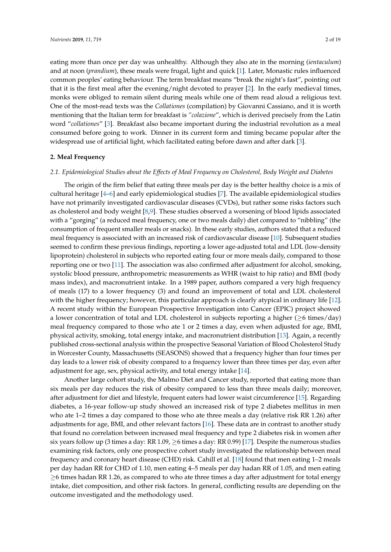eating more than once per day was unhealthy. Although they also ate in the morning (*ientaculum*) and at noon (*prandium*), these meals were frugal, light and quick [\[1\]](#page-12-0). Later, Monastic rules influenced common peoples' eating behaviour. The term breakfast means "break the night's fast", pointing out that it is the first meal after the evening/night devoted to prayer [\[2\]](#page-12-1). In the early medieval times, monks were obliged to remain silent during meals while one of them read aloud a religious text. One of the most-read texts was the *Collationes* (compilation) by Giovanni Cassiano, and it is worth mentioning that the Italian term for breakfast is *"colazione*", which is derived precisely from the Latin word "*collationes*" [\[3\]](#page-12-2). Breakfast also became important during the industrial revolution as a meal consumed before going to work. Dinner in its current form and timing became popular after the widespread use of artificial light, which facilitated eating before dawn and after dark [\[3\]](#page-12-2).

#### **2. Meal Frequency**

#### *2.1. Epidemiological Studies about the Effects of Meal Frequency on Cholesterol, Body Weight and Diabetes*

The origin of the firm belief that eating three meals per day is the better healthy choice is a mix of cultural heritage [\[4–](#page-12-3)[6\]](#page-12-4) and early epidemiological studies [\[7\]](#page-12-5). The available epidemiological studies have not primarily investigated cardiovascular diseases (CVDs), but rather some risks factors such as cholesterol and body weight [\[8,](#page-12-6)[9\]](#page-12-7). These studies observed a worsening of blood lipids associated with a "gorging" (a reduced meal frequency, one or two meals daily) diet compared to "nibbling" (the consumption of frequent smaller meals or snacks). In these early studies, authors stated that a reduced meal frequency is associated with an increased risk of cardiovascular disease [\[10\]](#page-12-8). Subsequent studies seemed to confirm these previous findings, reporting a lower age-adjusted total and LDL (low-density lipoprotein) cholesterol in subjects who reported eating four or more meals daily, compared to those reporting one or two [\[11\]](#page-12-9). The association was also confirmed after adjustment for alcohol, smoking, systolic blood pressure, anthropometric measurements as WHR (waist to hip ratio) and BMI (body mass index), and macronutrient intake. In a 1989 paper, authors compared a very high frequency of meals (17) to a lower frequency (3) and found an improvement of total and LDL cholesterol with the higher frequency; however, this particular approach is clearly atypical in ordinary life [\[12\]](#page-12-10). A recent study within the European Prospective Investigation into Cancer (EPIC) project showed a lower concentration of total and LDL cholesterol in subjects reporting a higher ( $\geq 6$  times/day) meal frequency compared to those who ate 1 or 2 times a day, even when adjusted for age, BMI, physical activity, smoking, total energy intake, and macronutrient distribution [\[13\]](#page-13-0). Again, a recently published cross-sectional analysis within the prospective Seasonal Variation of Blood Cholesterol Study in Worcester County, Massachusetts (SEASONS) showed that a frequency higher than four times per day leads to a lower risk of obesity compared to a frequency lower than three times per day, even after adjustment for age, sex, physical activity, and total energy intake [\[14\]](#page-13-1).

Another large cohort study, the Malmo Diet and Cancer study, reported that eating more than six meals per day reduces the risk of obesity compared to less than three meals daily; moreover, after adjustment for diet and lifestyle, frequent eaters had lower waist circumference [\[15\]](#page-13-2). Regarding diabetes, a 16-year follow-up study showed an increased risk of type 2 diabetes mellitus in men who ate 1–2 times a day compared to those who ate three meals a day (relative risk RR 1.26) after adjustments for age, BMI, and other relevant factors [\[16\]](#page-13-3). These data are in contrast to another study that found no correlation between increased meal frequency and type 2 diabetes risk in women after six years follow up (3 times a day: RR 1.09,  $\geq$ 6 times a day: RR 0.99) [\[17\]](#page-13-4). Despite the numerous studies examining risk factors, only one prospective cohort study investigated the relationship between meal frequency and coronary heart disease (CHD) risk. Cahill et al. [\[18\]](#page-13-5) found that men eating 1–2 meals per day hadan RR for CHD of 1.10, men eating 4–5 meals per day hadan RR of 1.05, and men eating ≥6 times hadan RR 1.26, as compared to who ate three times a day after adjustment for total energy intake, diet composition, and other risk factors. In general, conflicting results are depending on the outcome investigated and the methodology used.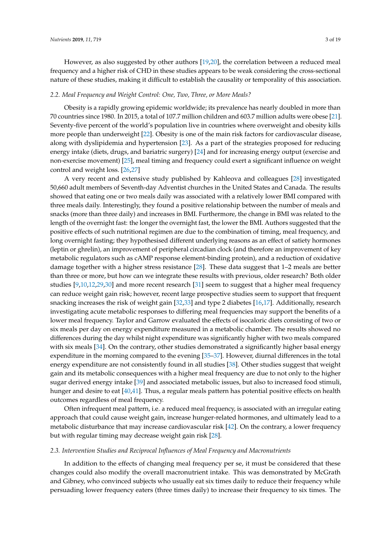However, as also suggested by other authors [\[19](#page-13-6)[,20\]](#page-13-7), the correlation between a reduced meal frequency and a higher risk of CHD in these studies appears to be weak considering the cross-sectional nature of these studies, making it difficult to establish the causality or temporality of this association.

#### *2.2. Meal Frequency and Weight Control: One, Two, Three, or More Meals?*

Obesity is a rapidly growing epidemic worldwide; its prevalence has nearly doubled in more than 70 countries since 1980. In 2015, a total of 107.7 million children and 603.7 million adults were obese [\[21\]](#page-13-8). Seventy-five percent of the world's population live in countries where overweight and obesity kills more people than underweight [\[22\]](#page-13-9). Obesity is one of the main risk factors for cardiovascular disease, along with dyslipidemia and hypertension [\[23\]](#page-13-10). As a part of the strategies proposed for reducing energy intake (diets, drugs, and bariatric surgery) [\[24\]](#page-13-11) and for increasing energy output (exercise and non-exercise movement) [\[25\]](#page-13-12), meal timing and frequency could exert a significant influence on weight control and weight loss. [\[26](#page-13-13)[,27\]](#page-13-14)

A very recent and extensive study published by Kahleova and colleagues [\[28\]](#page-13-15) investigated 50,660 adult members of Seventh-day Adventist churches in the United States and Canada. The results showed that eating one or two meals daily was associated with a relatively lower BMI compared with three meals daily. Interestingly, they found a positive relationship between the number of meals and snacks (more than three daily) and increases in BMI. Furthermore, the change in BMI was related to the length of the overnight fast: the longer the overnight fast, the lower the BMI. Authors suggested that the positive effects of such nutritional regimen are due to the combination of timing, meal frequency, and long overnight fasting; they hypothesised different underlying reasons as an effect of satiety hormones (leptin or ghrelin), an improvement of peripheral circadian clock (and therefore an improvement of key metabolic regulators such as cAMP response element-binding protein), and a reduction of oxidative damage together with a higher stress resistance [\[28\]](#page-13-15). These data suggest that 1–2 meals are better than three or more, but how can we integrate these results with previous, older research? Both older studies [\[9,](#page-12-7)[10,](#page-12-8)[12,](#page-12-10)[29,](#page-13-16)[30\]](#page-13-17) and more recent research [\[31\]](#page-13-18) seem to suggest that a higher meal frequency can reduce weight gain risk; however, recent large prospective studies seem to support that frequent snacking increases the risk of weight gain [\[32,](#page-13-19)[33\]](#page-14-0) and type 2 diabetes [\[16](#page-13-3)[,17\]](#page-13-4). Additionally, research investigating acute metabolic responses to differing meal frequencies may support the benefits of a lower meal frequency. Taylor and Garrow evaluated the effects of isocaloric diets consisting of two or six meals per day on energy expenditure measured in a metabolic chamber. The results showed no differences during the day whilst night expenditure was significantly higher with two meals compared with six meals [\[34\]](#page-14-1). On the contrary, other studies demonstrated a significantly higher basal energy expenditure in the morning compared to the evening [\[35–](#page-14-2)[37\]](#page-14-3). However, diurnal differences in the total energy expenditure are not consistently found in all studies [\[38\]](#page-14-4). Other studies suggest that weight gain and its metabolic consequences with a higher meal frequency are due to not only to the higher sugar derived energy intake [\[39\]](#page-14-5) and associated metabolic issues, but also to increased food stimuli, hunger and desire to eat [\[40,](#page-14-6)[41\]](#page-14-7). Thus, a regular meals pattern has potential positive effects on health outcomes regardless of meal frequency.

Often infrequent meal pattern, i.e. a reduced meal frequency, is associated with an irregular eating approach that could cause weight gain, increase hunger-related hormones, and ultimately lead to a metabolic disturbance that may increase cardiovascular risk [\[42\]](#page-14-8). On the contrary, a lower frequency but with regular timing may decrease weight gain risk [\[28\]](#page-13-15).

#### *2.3. Intervention Studies and Reciprocal Influences of Meal Frequency and Macronutrients*

In addition to the effects of changing meal frequency per se, it must be considered that these changes could also modify the overall macronutrient intake. This was demonstrated by McGrath and Gibney, who convinced subjects who usually eat six times daily to reduce their frequency while persuading lower frequency eaters (three times daily) to increase their frequency to six times. The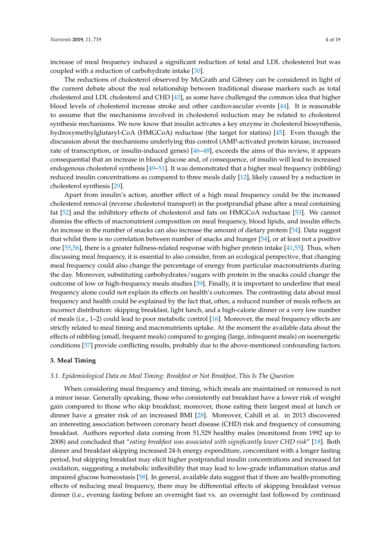increase of meal frequency induced a significant reduction of total and LDL cholesterol but was coupled with a reduction of carbohydrate intake [\[30\]](#page-13-17).

The reductions of cholesterol observed by McGrath and Gibney can be considered in light of the current debate about the real relationship between traditional disease markers such as total cholesterol and LDL cholesterol and CHD [\[43\]](#page-14-9), as some have challenged the common idea that higher blood levels of cholesterol increase stroke and other cardiovascular events [\[44\]](#page-14-10). It is reasonable to assume that the mechanisms involved in cholesterol reduction may be related to cholesterol synthesis mechanisms. We now know that insulin activates a key enzyme in cholesterol biosynthesis, hydroxymethylglutaryl-CoA (HMGCoA) reductase (the target for statins) [\[45\]](#page-14-11). Even though the discussion about the mechanisms underlying this control (AMP-activated protein kinase, increased rate of transcription, or insulin-induced genes) [\[46](#page-14-12)[–48\]](#page-14-13), exceeds the aims of this review, it appears consequential that an increase in blood glucose and, of consequence, of insulin will lead to increased endogenous cholesterol synthesis [\[49](#page-14-14)[–51\]](#page-14-15). It was demonstrated that a higher meal frequency (nibbling) reduced insulin concentrations as compared to three meals daily [\[12\]](#page-12-10), likely caused by a reduction in cholesterol synthesis [\[29\]](#page-13-16).

Apart from insulin's action, another effect of a high meal frequency could be the increased cholesterol removal (reverse cholesterol transport) in the postprandial phase after a meal containing fat [\[52\]](#page-14-16) and the inhibitory effects of cholesterol and fats on HMGCoA reductase [\[53\]](#page-14-17). We cannot dismiss the effects of macronutrient composition on meal frequency, blood lipids, and insulin effects. An increase in the number of snacks can also increase the amount of dietary protein [\[54\]](#page-14-18). Data suggest that whilst there is no correlation between number of snacks and hunger [\[54\]](#page-14-18), or at least not a positive one [\[55,](#page-15-0)[56\]](#page-15-1), there is a greater fullness-related response with higher protein intake [\[41](#page-14-7)[,55\]](#page-15-0). Thus, when discussing meal frequency, it is essential to also consider, from an ecological perspective, that changing meal frequency could also change the percentage of energy from particular macronutrients during the day. Moreover, substituting carbohydrates/sugars with protein in the snacks could change the outcome of low or high-frequency meals studies [\[39\]](#page-14-5). Finally, it is important to underline that meal frequency alone could not explain its effects on health's outcomes. The contrasting data about meal frequency and health could be explained by the fact that, often, a reduced number of meals reflects an incorrect distribution: skipping breakfast, light lunch, and a high-calorie dinner or a very low number of meals (i.e., 1–2) could lead to poor metabolic control [\[16\]](#page-13-3). Moreover, the meal frequency effects are strictly related to meal timing and macronutrients uptake. At the moment the available data about the effects of nibbling (small, frequent meals) compared to gorging (large, infrequent meals) on isoenergetic conditions [\[57\]](#page-15-2) provide conflicting results, probably due to the above-mentioned confounding factors.

#### **3. Meal Timing**

#### *3.1. Epidemiological Data on Meal Timing: Breakfast or Not Breakfast, This Is The Question*

When considering meal frequency and timing, which meals are maintained or removed is not a minor issue. Generally speaking, those who consistently eat breakfast have a lower risk of weight gain compared to those who skip breakfast; moreover, those eating their largest meal at lunch or dinner have a greater risk of an increased BMI [\[28\]](#page-13-15). Moreover, Cahill et al. in 2013 discovered an interesting association between coronary heart disease (CHD) risk and frequency of consuming breakfast. Authors reported data coming from 51,529 healthy males (monitored from 1992 up to 2008) and concluded that "*eating breakfast was associated with significantly lower CHD risk*" [\[18\]](#page-13-5). Both dinner and breakfast skipping increased 24-h energy expenditure, concomitant with a longer fasting period, but skipping breakfast may elicit higher postprandial insulin concentrations and increased fat oxidation, suggesting a metabolic inflexibility that may lead to low-grade inflammation status and impaired glucose homeostasis [\[58\]](#page-15-3). In general, available data suggest that if there are health-promoting effects of reducing meal frequency, there may be differential effects of skipping breakfast versus dinner (i.e., evening fasting before an overnight fast vs. an overnight fast followed by continued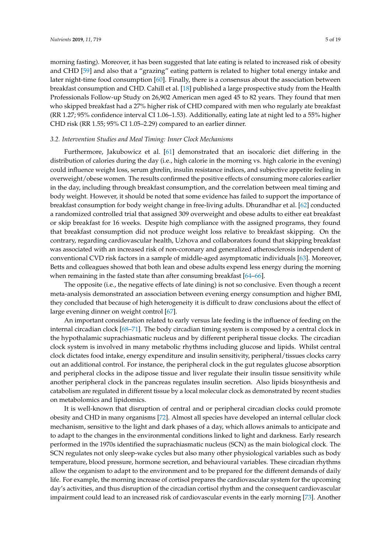morning fasting). Moreover, it has been suggested that late eating is related to increased risk of obesity and CHD [\[59\]](#page-15-4) and also that a "grazing" eating pattern is related to higher total energy intake and later night-time food consumption [\[60\]](#page-15-5). Finally, there is a consensus about the association between breakfast consumption and CHD. Cahill et al. [\[18\]](#page-13-5) published a large prospective study from the Health Professionals Follow-up Study on 26,902 American men aged 45 to 82 years. They found that men who skipped breakfast had a 27% higher risk of CHD compared with men who regularly ate breakfast (RR 1.27; 95% confidence interval CI 1.06–1.53). Additionally, eating late at night led to a 55% higher CHD risk (RR 1.55; 95% CI 1.05–2.29) compared to an earlier dinner.

#### *3.2. Intervention Studies and Meal Timing: Inner Clock Mechanisms*

Furthermore, Jakubowicz et al. [\[61\]](#page-15-6) demonstrated that an isocaloric diet differing in the distribution of calories during the day (i.e., high calorie in the morning vs. high calorie in the evening) could influence weight loss, serum ghrelin, insulin resistance indices, and subjective appetite feeling in overweight/obese women. The results confirmed the positive effects of consuming more calories earlier in the day, including through breakfast consumption, and the correlation between meal timing and body weight. However, it should be noted that some evidence has failed to support the importance of breakfast consumption for body weight change in free-living adults. Dhurandhar et al. [\[62\]](#page-15-7) conducted a randomized controlled trial that assigned 309 overweight and obese adults to either eat breakfast or skip breakfast for 16 weeks. Despite high compliance with the assigned programs, they found that breakfast consumption did not produce weight loss relative to breakfast skipping. On the contrary, regarding cardiovascular health, Uzhova and collaborators found that skipping breakfast was associated with an increased risk of non-coronary and generalized atherosclerosis independent of conventional CVD risk factors in a sample of middle-aged asymptomatic individuals [\[63\]](#page-15-8). Moreover, Betts and colleagues showed that both lean and obese adults expend less energy during the morning when remaining in the fasted state than after consuming breakfast [\[64](#page-15-9)[–66\]](#page-15-10).

The opposite (i.e., the negative effects of late dining) is not so conclusive. Even though a recent meta-analysis demonstrated an association between evening energy consumption and higher BMI, they concluded that because of high heterogeneity it is difficult to draw conclusions about the effect of large evening dinner on weight control [\[67\]](#page-15-11).

An important consideration related to early versus late feeding is the influence of feeding on the internal circadian clock [\[68–](#page-15-12)[71\]](#page-15-13). The body circadian timing system is composed by a central clock in the hypothalamic suprachiasmatic nucleus and by different peripheral tissue clocks. The circadian clock system is involved in many metabolic rhythms including glucose and lipids. Whilst central clock dictates food intake, energy expenditure and insulin sensitivity, peripheral/tissues clocks carry out an additional control. For instance, the peripheral clock in the gut regulates glucose absorption and peripheral clocks in the adipose tissue and liver regulate their insulin tissue sensitivity while another peripheral clock in the pancreas regulates insulin secretion. Also lipids biosynthesis and catabolism are regulated in different tissue by a local molecular clock as demonstrated by recent studies on metabolomics and lipidomics.

It is well-known that disruption of central and or peripheral circadian clocks could promote obesity and CHD in many organisms [\[72\]](#page-15-14). Almost all species have developed an internal cellular clock mechanism, sensitive to the light and dark phases of a day, which allows animals to anticipate and to adapt to the changes in the environmental conditions linked to light and darkness. Early research performed in the 1970s identified the suprachiasmatic nucleus (SCN) as the main biological clock. The SCN regulates not only sleep-wake cycles but also many other physiological variables such as body temperature, blood pressure, hormone secretion, and behavioural variables. These circadian rhythms allow the organism to adapt to the environment and to be prepared for the different demands of daily life. For example, the morning increase of cortisol prepares the cardiovascular system for the upcoming day's activities, and thus disruption of the circadian cortisol rhythm and the consequent cardiovascular impairment could lead to an increased risk of cardiovascular events in the early morning [\[73\]](#page-15-15). Another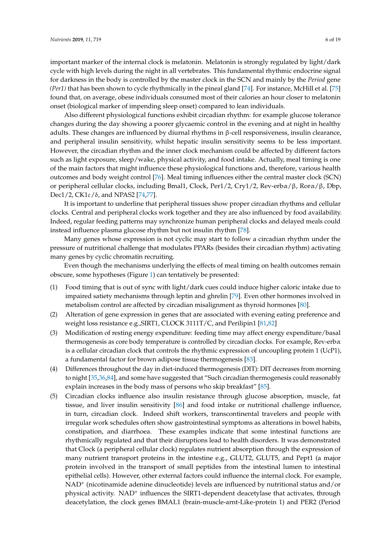important marker of the internal clock is melatonin. Melatonin is strongly regulated by light/dark cycle with high levels during the night in all vertebrates. This fundamental rhythmic endocrine signal for darkness in the body is controlled by the master clock in the SCN and mainly by the *Period* gene *(Per1)* that has been shown to cycle rhythmically in the pineal gland [\[74\]](#page-15-16). For instance, McHill et al. [\[75\]](#page-16-0) found that, on average, obese individuals consumed most of their calories an hour closer to melatonin onset (biological marker of impending sleep onset) compared to lean individuals.

Also different physiological functions exhibit circadian rhythm: for example glucose tolerance changes during the day showing a poorer glycaemic control in the evening and at night in healthy adults. These changes are influenced by diurnal rhythms in β-cell responsiveness, insulin clearance, and peripheral insulin sensitivity, whilst hepatic insulin sensitivity seems to be less important. However, the circadian rhythm and the inner clock mechanism could be affected by different factors such as light exposure, sleep/wake, physical activity, and food intake. Actually, meal timing is one of the main factors that might influence these physiological functions and, therefore, various health outcomes and body weight control [\[76\]](#page-16-1). Meal timing influences either the central master clock (SCN) or peripheral cellular clocks, including Bmal1, Clock, Per1/2, Cry1/2, Rev-erbα/β, Rorα/β, Dbp, Dec1/2, CK1ε/δ, and NPAS2 [\[74,](#page-15-16)[77\]](#page-16-2).

It is important to underline that peripheral tissues show proper circadian rhythms and cellular clocks. Central and peripheral clocks work together and they are also influenced by food availability. Indeed, regular feeding patterns may synchronize human peripheral clocks and delayed meals could instead influence plasma glucose rhythm but not insulin rhythm [\[78\]](#page-16-3).

Many genes whose expression is not cyclic may start to follow a circadian rhythm under the pressure of nutritional challenge that modulates PPARs (besides their circadian rhythm) activating many genes by cyclic chromatin recruiting.

Even though the mechanisms underlying the effects of meal timing on health outcomes remain obscure, some hypotheses (Figure [1\)](#page-6-0) can tentatively be presented:

- (1) Food timing that is out of sync with light/dark cues could induce higher caloric intake due to impaired satiety mechanisms through leptin and ghrelin [\[79\]](#page-16-4). Even other hormones involved in metabolism control are affected by circadian misalignment as thyroid hormones [\[80\]](#page-16-5).
- (2) Alteration of gene expression in genes that are associated with evening eating preference and weight loss resistance e.g.,SIRT1, CLOCK 3111T/C, and Perilipin1 [\[81](#page-16-6)[,82\]](#page-16-7)
- (3) Modification of resting energy expenditure: feeding time may affect energy expenditure/basal thermogenesis as core body temperature is controlled by circadian clocks. For example,  $Rev-erb\alpha$ is a cellular circadian clock that controls the rhythmic expression of uncoupling protein 1 (UcP1), a fundamental factor for brown adipose tissue thermogenesis [\[83\]](#page-16-8).
- (4) Differences throughout the day in diet-induced thermogenesis (DIT): DIT decreases from morning to night [\[35,](#page-14-2)[36,](#page-14-19)[84\]](#page-16-9), and some have suggested that "Such circadian thermogenesis could reasonably explain increases in the body mass of persons who skip breakfast" [\[85\]](#page-16-10).
- (5) Circadian clocks influence also insulin resistance through glucose absorption, muscle, fat tissue, and liver insulin sensitivity [\[86\]](#page-16-11) and food intake or nutritional challenge influence, in turn, circadian clock. Indeed shift workers, transcontinental travelers and people with irregular work schedules often show gastrointestinal symptoms as alterations in bowel habits, constipation, and diarrhoea. These examples indicate that some intestinal functions are rhythmically regulated and that their disruptions lead to health disorders. It was demonstrated that Clock (a peripheral cellular clock) regulates nutrient absorption through the expression of many nutrient transport proteins in the intestine e.g., GLUT2, GLUT5, and Pept1 (a major protein involved in the transport of small peptides from the intestinal lumen to intestinal epithelial cells). However, other external factors could influence the internal clock. For example,  $NAD<sup>+</sup>$  (nicotinamide adenine dinucleotide) levels are influenced by nutritional status and/or physical activity. NAD<sup>+</sup> influences the SIRT1-dependent deacetylase that activates, through deacetylation, the clock genes BMAL1 (brain-muscle-arnt-Like-protein 1) and PER2 (Period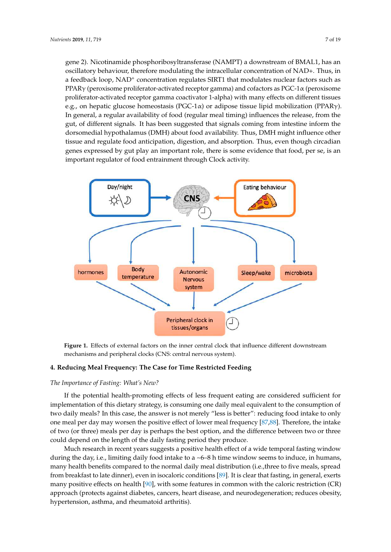gene 2). Nicotinamide phosphoribosyltransferase (NAMPT) a downstream of BMAL1, has an oscillatory behaviour, therefore modulating the intracellular concentration of NAD+. Thus, in a feedback loop, NAD<sup>+</sup> concentration regulates SIRT1 that modulates nuclear factors such as PPARγ (peroxisome proliferator-activated receptor gamma) and cofactors as PGC-1α (peroxisome  $\frac{1}{2}$ proliferator-activated receptor gamma coactivator 1-alpha) with many effects on different tissues e.g., on hepatic glucose homeostasis (PGC-1α) or adipose tissue lipid mobilization (PPARγ). In general, a regular availability of food (regular meal timing) influences the release, from the gut, of different signals. It has been suggested that signals coming from intestine inform the dorsomedial hypothalamus (DMH) about food availability. Thus, DMH might influence other tissue and regulate food anticipation, digestion, and absorption. Thus, even though circadian genes expressed by gut play an important role, there is some evidence that food, per se, is an important regulator of food entrainment through Clock activity.

<span id="page-6-0"></span>

mechanisms and peripheral clocks (CNS: central nervous system). **Figure 1.** Effects of external factors on the inner central clock that influence different downstream

## 4. Reducing Meal Frequency: The Case for Time Restricted Feeding

## **4. Reducing Meal Frequency: The Case for Time Restricted Feeding**  *The Importance of Fasting: What's New?*

implementation of this dietary strategy, is consuming one daily meal equivalent to the consumption of one meal per day may worsen the positive effect of lower meal frequency [\[87](#page-16-12)[,88\]](#page-16-13). Therefore, the intake of two (or three) meals per day is perhaps the best option, and the difference between two or three could depend on the length of the daily fasting period they produce. If the potential health-promoting effects of less frequent eating are considered sufficient for two daily meals? In this case, the answer is not merely "less is better": reducing food intake to only

Much research in recent years suggests a positive health effect of a wide temporal fasting window during the day, i.e., limiting daily food intake to a ~6–8 h time window seems to induce, in humans, many health benefits compared to the normal daily meal distribution (i.e., three to five meals, spread from breakfast to late dinner), even in isocaloric conditions [\[89\]](#page-16-14). It is clear that fasting, in general, exerts  $(3P)$ many positive energy environment projection contains in common window selection reduced (ex),<br>approach (protects against diabetes, cancers, heart disease, and neurodegeneration; reduces obesity, hypertension, asthma, and rheumatoid arthritis). many positive effects on health [\[90\]](#page-16-15), with some features in common with the caloric restriction (CR)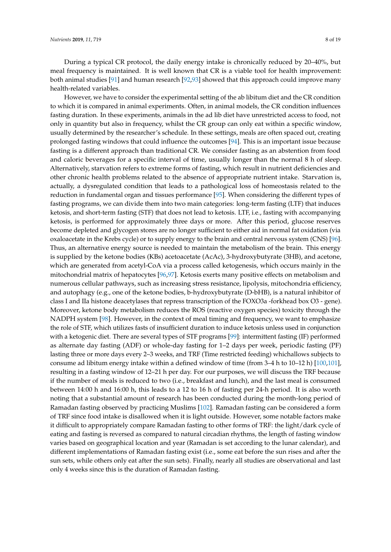During a typical CR protocol, the daily energy intake is chronically reduced by 20–40%, but meal frequency is maintained. It is well known that CR is a viable tool for health improvement: both animal studies [\[91\]](#page-16-16) and human research [\[92](#page-16-17)[,93\]](#page-16-18) showed that this approach could improve many health-related variables.

However, we have to consider the experimental setting of the ab libitum diet and the CR condition to which it is compared in animal experiments. Often, in animal models, the CR condition influences fasting duration. In these experiments, animals in the ad lib diet have unrestricted access to food, not only in quantity but also in frequency, whilst the CR group can only eat within a specific window, usually determined by the researcher's schedule. In these settings, meals are often spaced out, creating prolonged fasting windows that could influence the outcomes [\[94\]](#page-16-19). This is an important issue because fasting is a different approach than traditional CR. We consider fasting as an abstention from food and caloric beverages for a specific interval of time, usually longer than the normal 8 h of sleep. Alternatively, starvation refers to extreme forms of fasting, which result in nutrient deficiencies and other chronic health problems related to the absence of appropriate nutrient intake. Starvation is, actually, a dysregulated condition that leads to a pathological loss of homeostasis related to the reduction in fundamental organ and tissues performance [\[95\]](#page-17-0). When considering the different types of fasting programs, we can divide them into two main categories: long-term fasting (LTF) that induces ketosis, and short-term fasting (STF) that does not lead to ketosis. LTF, i.e., fasting with accompanying ketosis, is performed for approximately three days or more. After this period, glucose reserves become depleted and glycogen stores are no longer sufficient to either aid in normal fat oxidation (via oxaloacetate in the Krebs cycle) or to supply energy to the brain and central nervous system (CNS) [\[96\]](#page-17-1). Thus, an alternative energy source is needed to maintain the metabolism of the brain. This energy is supplied by the ketone bodies (KBs) acetoacetate (AcAc), 3-hydroxybutyrate (3HB), and acetone, which are generated from acetyl-CoA via a process called ketogenesis, which occurs mainly in the mitochondrial matrix of hepatocytes [\[96,](#page-17-1)[97\]](#page-17-2). Ketosis exerts many positive effects on metabolism and numerous cellular pathways, such as increasing stress resistance, lipolysis, mitochondria efficiency, and autophagy (e.g., one of the ketone bodies, b-hydroxybutyrate (D-bHB), is a natural inhibitor of class I and IIa histone deacetylases that repress transcription of the FOXO3a -forkhead box O3 - gene). Moreover, ketone body metabolism reduces the ROS (reactive oxygen species) toxicity through the NADPH system [\[98\]](#page-17-3). However, in the context of meal timing and frequency, we want to emphasize the role of STF, which utilizes fasts of insufficient duration to induce ketosis unless used in conjunction with a ketogenic diet. There are several types of STF programs [\[99\]](#page-17-4): intermittent fasting (IF) performed as alternate day fasting (ADF) or whole-day fasting for 1–2 days per week, periodic fasting (PF) lasting three or more days every 2–3 weeks, and TRF (Time restricted feeding) whichallows subjects to consume ad libitum energy intake within a defined window of time (from 3–4 h to 10–12 h) [\[100](#page-17-5)[,101\]](#page-17-6), resulting in a fasting window of 12–21 h per day. For our purposes, we will discuss the TRF because if the number of meals is reduced to two (i.e., breakfast and lunch), and the last meal is consumed between 14:00 h and 16:00 h, this leads to a 12 to 16 h of fasting per 24-h period. It is also worth noting that a substantial amount of research has been conducted during the month-long period of Ramadan fasting observed by practicing Muslims [\[102\]](#page-17-7). Ramadan fasting can be considered a form of TRF since food intake is disallowed when it is light outside. However, some notable factors make it difficult to appropriately compare Ramadan fasting to other forms of TRF: the light/dark cycle of eating and fasting is reversed as compared to natural circadian rhythms, the length of fasting window varies based on geographical location and year (Ramadan is set according to the lunar calendar), and different implementations of Ramadan fasting exist (i.e., some eat before the sun rises and after the sun sets, while others only eat after the sun sets). Finally, nearly all studies are observational and last only 4 weeks since this is the duration of Ramadan fasting.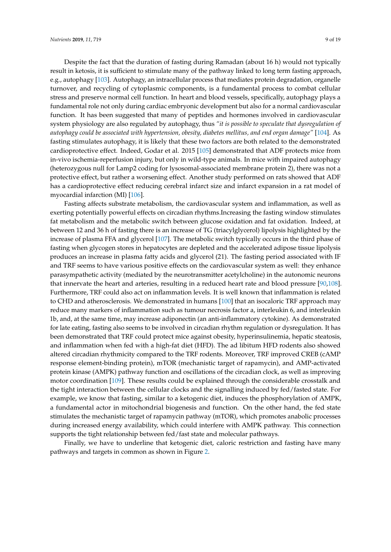Despite the fact that the duration of fasting during Ramadan (about 16 h) would not typically result in ketosis, it is sufficient to stimulate many of the pathway linked to long term fasting approach, e.g., autophagy [\[103\]](#page-17-8). Autophagy, an intracellular process that mediates protein degradation, organelle turnover, and recycling of cytoplasmic components, is a fundamental process to combat cellular stress and preserve normal cell function. In heart and blood vessels, specifically, autophagy plays a fundamental role not only during cardiac embryonic development but also for a normal cardiovascular function. It has been suggested that many of peptides and hormones involved in cardiovascular system physiology are also regulated by autophagy, thus *"it is possible to speculate that dysregulation of autophagy could be associated with hypertension, obesity, diabetes mellitus, and end organ damage"* [\[104\]](#page-17-9). As fasting stimulates autophagy, it is likely that these two factors are both related to the demonstrated cardioprotective effect. Indeed, Godar et al. 2015 [\[105\]](#page-17-10) demonstrated that ADF protects mice from in-vivo ischemia-reperfusion injury, but only in wild-type animals. In mice with impaired autophagy (heterozygous null for Lamp2 coding for lysosomal-associated membrane protein 2), there was not a protective effect, but rather a worsening effect. Another study performed on rats showed that ADF has a cardioprotective effect reducing cerebral infarct size and infarct expansion in a rat model of myocardial infarction (MI) [\[106\]](#page-17-11).

Fasting affects substrate metabolism, the cardiovascular system and inflammation, as well as exerting potentially powerful effects on circadian rhythms.Increasing the fasting window stimulates fat metabolism and the metabolic switch between glucose oxidation and fat oxidation. Indeed, at between 12 and 36 h of fasting there is an increase of TG (triacylglycerol) lipolysis highlighted by the increase of plasma FFA and glycerol [\[107\]](#page-17-12). The metabolic switch typically occurs in the third phase of fasting when glycogen stores in hepatocytes are depleted and the accelerated adipose tissue lipolysis produces an increase in plasma fatty acids and glycerol (21). The fasting period associated with IF and TRF seems to have various positive effects on the cardiovascular system as well: they enhance parasympathetic activity (mediated by the neurotransmitter acetylcholine) in the autonomic neurons that innervate the heart and arteries, resulting in a reduced heart rate and blood pressure [\[90,](#page-16-15)[108\]](#page-17-13). Furthermore, TRF could also act on inflammation levels. It is well known that inflammation is related to CHD and atherosclerosis. We demonstrated in humans [\[100\]](#page-17-5) that an isocaloric TRF approach may reduce many markers of inflammation such as tumour necrosis factor a, interleukin 6, and interleukin 1b, and, at the same time, may increase adiponectin (an anti-inflammatory cytokine). As demonstrated for late eating, fasting also seems to be involved in circadian rhythm regulation or dysregulation. It has been demonstrated that TRF could protect mice against obesity, hyperinsulinemia, hepatic steatosis, and inflammation when fed with a high-fat diet (HFD). The ad libitum HFD rodents also showed altered circadian rhythmicity compared to the TRF rodents. Moreover, TRF improved CREB (cAMP response element-binding protein), mTOR (mechanistic target of rapamycin), and AMP-activated protein kinase (AMPK) pathway function and oscillations of the circadian clock, as well as improving motor coordination [\[109\]](#page-17-14). These results could be explained through the considerable crosstalk and the tight interaction between the cellular clocks and the signalling induced by fed/fasted state. For example, we know that fasting, similar to a ketogenic diet, induces the phosphorylation of AMPK, a fundamental actor in mitochondrial biogenesis and function. On the other hand, the fed state stimulates the mechanistic target of rapamycin pathway (mTOR), which promotes anabolic processes during increased energy availability, which could interfere with AMPK pathway. This connection supports the tight relationship between fed/fast state and molecular pathways.

Finally, we have to underline that ketogenic diet, caloric restriction and fasting have many pathways and targets in common as shown in Figure [2.](#page-9-0)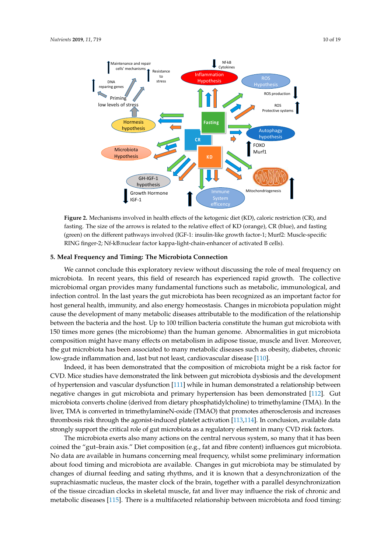<span id="page-9-0"></span>

rasung. The size of the arrows is related to the felative effect of KD (orange*)*, CK (bide), and lasting<br>(green) on the different pathways involved (IGF-1: insulin-like growth factor-1; Murf2: Muscle-specific RING finger-2; Nf-kB:nuclear factor kappa-light-chain-enhancer of activated B cells). **Figure 2.** Mechanisms involved in health effects of the ketogenic diet (KD), caloric restriction (CR), and fasting. The size of the arrows is related to the relative effect of KD (orange), CR (blue), and fasting

## **5. Meal Frequency and Timing: The Microbiota Connection** factor-1  $\frac{1}{2}$  ; Murf $\frac{1}{2}$ : Muscle-specific Ring final-factor kappa-light-chain-chain-chain-chain-chain-chain-chain-chain-chain-chain-chain-chain-chain-chain-chain-chain-chain-chain-chain-chain-chain-chain-chain-c

we cannot conclude this exploratory review without discussing the role of mean nequency on<br>microbiota. In recent years, this field of research has experienced rapid growth. The collective infection control. In the last years the gut microbiota has been recognized as an important factor for riost general nearal, mundinty, and also energy noncostasis. Changes in incrobiotal population hight<br>cause the development of many metabolic diseases attributable to the modification of the relationship between the bacteria and the host. Up to 100 trillion bacteria constitute the human gut microbiota with 150 times more genes (the microbiome) than the human genome. Abnormalities in gut microbiota composition might have many effects on metabolism in adipose tissue, muscle and liver. Moreover, the gut microbiota has been associated to many metabolic diseases such as obesity, diabetes, chronic We cannot conclude this exploratory review without discussing the role of meal frequency on microbiomal organ provides many fundamental functions such as metabolic, immunological, and host general health, immunity, and also energy homeostasis. Changes in microbiota population might low-grade inflammation and, last but not least, cardiovascular disease [\[110\]](#page-17-15).

Indeed, it has been demonstrated that the composition of microbiota might be a risk factor for CVD. Mice studies have demonstrated the link between gut microbiota dysbiosis and the development of hypertension and vascular dysfunction [111] while in human demonstrated a relationship between negative changes in gut microbiota and primary hypertension has been demonstrated [\[112\]](#page-17-17). Gut microbiota converts choline (derived from dietary phosphatidylcholine) to trimethylamine (TMA). In the  $\Gamma$ diabetes chronic low-grade in and, last but not least but not leader promotes understanding the increases thrombosis risk through the agonist-induced platelet activation [\[113](#page-17-18)[,114\]](#page-17-19). In conclusion, available data strongly support the critical role of gut microbiota as a regulatory element in many CVD risk factors. liver, TMA is converted in trimethylamineN-oxide (TMAO) that promotes atherosclerosis and increases

The microbiota exerts also many actions on the central nervous system, so many that it has been coined the "gut–brain axis." Diet composition (e.g., fat and fibre content) influences gut microbiota. relationship between negative concerning mean requericy, whilst some premiumary miorination about food timing and microbiota are available. Changes in gut microbiota may be stimulated by changes of diurnal feeding and sating rhythms, and it is known that a desynchronization of the suprachiasmatic nucleus, the master clock of the brain, together with a parallel desynchronization of the tissue circadian clocks in skeletal muscle, fat and liver may influence the risk of chronic and metabolic diseases [\[115\]](#page-18-0). There is a multifaceted relationship between microbiota and food timing: No data are available in humans concerning meal frequency, whilst some preliminary information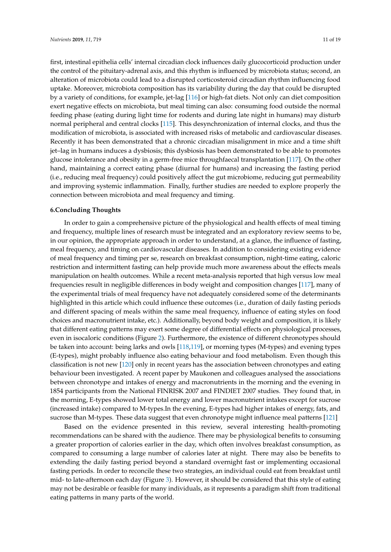first, intestinal epithelia cells' internal circadian clock influences daily glucocorticoid production under the control of the pituitary-adrenal axis, and this rhythm is influenced by microbiota status; second, an alteration of microbiota could lead to a disrupted corticosteroid circadian rhythm influencing food uptake. Moreover, microbiota composition has its variability during the day that could be disrupted by a variety of conditions, for example, jet-lag [\[116\]](#page-18-1) or high-fat diets. Not only can diet composition exert negative effects on microbiota, but meal timing can also: consuming food outside the normal feeding phase (eating during light time for rodents and during late night in humans) may disturb normal peripheral and central clocks [\[115\]](#page-18-0). This desynchronization of internal clocks, and thus the modification of microbiota, is associated with increased risks of metabolic and cardiovascular diseases. Recently it has been demonstrated that a chronic circadian misalignment in mice and a time shift jet–lag in humans induces a dysbiosis; this dysbiosis has been demonstrated to be able to promotes glucose intolerance and obesity in a germ-free mice throughfaecal transplantation [\[117\]](#page-18-2). On the other hand, maintaining a correct eating phase (diurnal for humans) and increasing the fasting period (i.e., reducing meal frequency) could positively affect the gut microbiome, reducing gut permeability and improving systemic inflammation. Finally, further studies are needed to explore properly the connection between microbiota and meal frequency and timing.

#### **6.Concluding Thoughts**

In order to gain a comprehensive picture of the physiological and health effects of meal timing and frequency, multiple lines of research must be integrated and an exploratory review seems to be, in our opinion, the appropriate approach in order to understand, at a glance, the influence of fasting, meal frequency, and timing on cardiovascular diseases. In addition to considering existing evidence of meal frequency and timing per se, research on breakfast consumption, night-time eating, caloric restriction and intermittent fasting can help provide much more awareness about the effects meals manipulation on health outcomes. While a recent meta-analysis reported that high versus low meal frequencies result in negligible differences in body weight and composition changes [\[117\]](#page-18-2), many of the experimental trials of meal frequency have not adequately considered some of the determinants highlighted in this article which could influence these outcomes (i.e., duration of daily fasting periods and different spacing of meals within the same meal frequency, influence of eating styles on food choices and macronutrient intake, etc.). Additionally, beyond body weight and composition, it is likely that different eating patterns may exert some degree of differential effects on physiological processes, even in isocaloric conditions (Figure [2\)](#page-9-0). Furthermore, the existence of different chronotypes should be taken into account: being larks and owls [\[118](#page-18-3)[,119\]](#page-18-4), or morning types (M-types) and evening types (E-types), might probably influence also eating behaviour and food metabolism. Even though this classification is not new [\[120\]](#page-18-5) only in recent years has the association between chronotypes and eating behaviour been investigated. A recent paper by Maukonen and colleagues analysed the associations between chronotype and intakes of energy and macronutrients in the morning and the evening in 1854 participants from the National FINRISK 2007 and FINDIET 2007 studies. They found that, in the morning, E-types showed lower total energy and lower macronutrient intakes except for sucrose (increased intake) compared to M-types.In the evening, E-types had higher intakes of energy, fats, and sucrose than M-types. These data suggest that even chronotype might influence meal patterns [\[121\]](#page-18-6)

Based on the evidence presented in this review, several interesting health-promoting recommendations can be shared with the audience. There may be physiological benefits to consuming a greater proportion of calories earlier in the day, which often involves breakfast consumption, as compared to consuming a large number of calories later at night. There may also be benefits to extending the daily fasting period beyond a standard overnight fast or implementing occasional fasting periods. In order to reconcile these two strategies, an individual could eat from breakfast until mid- to late-afternoon each day (Figure [3\)](#page-11-0). However, it should be considered that this style of eating may not be desirable or feasible for many individuals, as it represents a paradigm shift from traditional eating patterns in many parts of the world.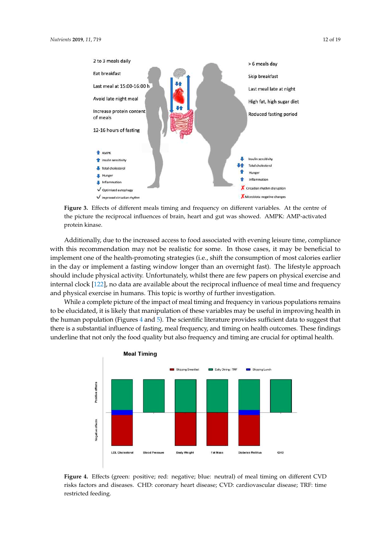<span id="page-11-0"></span>

 $\mathbf{F}_{\text{f}}$  figure 3.2.  $\mathbf{F}_{\text{f}}$  different means the centre of different variables. At  $\mathbf{F}_{\text{f}}$ the picture the reciprocal influences of brain, heart and gut was showed. AMPK: AMP-activated activated protein kinase. **Figure 3.** Effects of different meals timing and frequency on different variables. At the centre of protein kinase.

Additionally, due to the increased access to food associated with evening leisure time, compliance recommendations can be shared with the audience. There may be physiological benefits to with this recommendation may not be realistic for some. In those cases, it may be beneficial to implement one of the health-promoting strategies (i.e., shift the consumption of most calories earlier implement a feeting tuindary lenger then an exemight fact). The lifect in the day or implement a fasting window longer than an overnight fast). The lifestyle approach should include physical activity. Unfortunately, whilst there are few papers on physical exercise and internal clock [\[122\]](#page-18-7), no data are available about the reciprocal influence of meal time and frequency and physical exercise in humans. This topic is worthy of further investigation.

While a complete picture of the impact of meal timing and frequency in various populations remains to be elucidated, it is likely that manipulation of these variables may be useful in improving health in the human population (Figures [4](#page-11-1) and [5\)](#page-12-11). The scientific literature provides sufficient data to suggest that there is a substantial influence of fasting, meal frequency, and timing on health outcomes. These findings underline that not only the food quality but also frequency and timing are crucial for optimal health.

<span id="page-11-1"></span>

**Figure 4.**Effects (green: positive; red: negative; blue: neutral) of meal timing on different **Figure 4.** Effects (green: positive; red: negative; blue: neutral) of meal timing on different CVD risks factors and diseases. CHD: coronary heart disease; CVD: cardiovascular disease; TRF: time restricted feeding.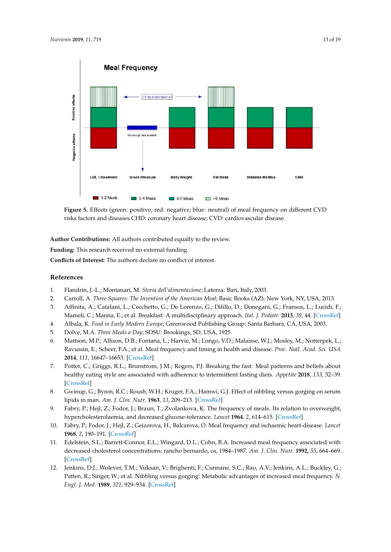<span id="page-12-11"></span>

**Figure 5.**Effects (green: positive; red: negative; blue: neutral) of meal frequency on different risks factors and diseases.CHD: coronary heart disease; CVD: cardiovascular disease. CVD risks factors and diseases.CHD: coronary heart disease; CVD: cardiovascular disease. **Figure 5.** Effects (green: positive; red: negative; blue: neutral) of meal frequency on different CVD

Author Contributions: All authors contributed equally to the review.<br> **Author Contributions:** All authors contributed equally to the review.

**Funding:** This research received no external funding.

**Conflicts of Interest:** The authors declare no conflict of interest. beneficial to implement of the health-production strategies (i.e., shift the consumption of most of most of most of most of most of most of most of most of most of most of most of most of most of most of most of most of mo

#### calories earlier in the day of the day of the day of the day of the lifestyle window longer than an over  $\alpha$ **References**

- <span id="page-12-0"></span>1. Flandrin, J.-L.; Montanari, M. *Storia dell'alimentazione*; Laterza: Bari, Italy, 2003.
- <span id="page-12-1"></span>2. Carroll, A. *Three Squares: The Invention of the American Meal*; Basic Books (AZ): New York, NY, USA, 2013.
- <span id="page-12-2"></span>3. Affinita, A.; Catalani, L.; Cecchetto, G.; De Lorenzo, G.; Dilillo, D.; Donegani, G.; Fransos, L.; Lucidi, F.; Mameli, C.; Manna, E.; et al. Breakfast: A multidisciplinary approach. Ital. J. Pediatr. 2013, 39, 44. [CrossRef]
- <span id="page-12-3"></span>4. Albala, K. *Food in Early Modern Europe;* Greenwood Publishing Group: Santa Barbara, CA, USA, 2003.<br>5. Albala, M.A. *Thua Masla a Daw S*DSU: Braakings, SD, USA, 1925.
	- 5. Dolve, M.A. *Three Meals a Day*; SDSU: Brookings, SD, USA, 1925.
- <span id="page-12-4"></span>6. Mattson, M.P.; Allison, D.B.; Fontana, L.; Harvie, M.; Longo, V.D.; Malaisse, W.J.; Mosley, M.; Notterpek, L.; Ravussin, E.; Scheer, F.A.; et al. Meal frequency and timing in health and disease. *Proc. Natl. Acad. Sci. USA* **2014**, *111*, 16647–16653. [\[CrossRef\]](http://dx.doi.org/10.1073/pnas.1413965111)
- <span id="page-12-5"></span>7. Potter, C.; Griggs, R.L.; Brunstrom, J.M.; Rogers, P.J. Breaking the fast: Meal patterns and beliefs about<br>1. Postly, extinct the concentrator is the all passes to intermediate faction distribution 121, 22, 23, 29, 29 **Authorize:**  $\alpha$  **CrossRef** healthy eating style are associated with adherence to intermittent fasting diets. *Appetite* **2018**, *133*, 32–39. [\[CrossRef\]](http://dx.doi.org/10.1016/j.appet.2018.10.020)
- <span id="page-12-6"></span>lipids in man. *Am. J. Clin. Nutr.* **1963**, 13, 209–213. [\[CrossRef\]](http://dx.doi.org/10.1093/ajcn/13.4.209) 8. Gwinup, G.; Byron, R.C.; Roush, W.H.; Kruger, F.A.; Hamwi, G.J. Effect of nibbling versus gorging on serum
- <span id="page-12-10"></span><span id="page-12-9"></span><span id="page-12-8"></span><span id="page-12-7"></span>9. Fabry, P.; Hejl, Z.; Fodor, J.; Braun, T.; Zvolankova, K. The frequency of meals. Its relation to overweight,<br>1. September 1994, A. (15, 16 september 1994, 1994, 1994, 1994, 1994, 1994, 1995, 1999, 1999, 1999, 1999, 199 hypercholesterolaemia, and decreased glucose-tolerance. *Lancet* **1964**, *2*, 614–615. [\[CrossRef\]](http://dx.doi.org/10.1016/S0140-6736(64)90510-0)
	- 10. Fabry, P.; Fodor, J.; Hejl, Z.; Geizerova, H.; Balcarova, O. Meal frequency and ischaemic heart-disease. *Lancet* **1968**, *2*, 190–191. [\[CrossRef\]](http://dx.doi.org/10.1016/S0140-6736(68)92622-6)
	- 11. Edelstein, S.L.; Barrett-Connor, E.L.; Wingard, D.L.; Cohn, B.A. Increased meal frequency associated with decreased cholesterol concentrations; rancho bernardo, ca, 1984–1987. *Am. J. Clin. Nutr.* **1992**, *55*, 664–669. [\[CrossRef\]](http://dx.doi.org/10.1093/ajcn/55.3.664)
	- 12. Jenkins, D.J.; Wolever, T.M.; Vuksan, V.; Brighenti, F.; Cunnane, S.C.; Rao, A.V.; Jenkins, A.L.; Buckley, G.; Patten, R.; Singer, W.; et al. Nibbling versus gorging: Metabolic advantages of increased meal frequency. *N. Engl. J. Med.* **1989**, *321*, 929–934. [\[CrossRef\]](http://dx.doi.org/10.1056/NEJM198910053211403)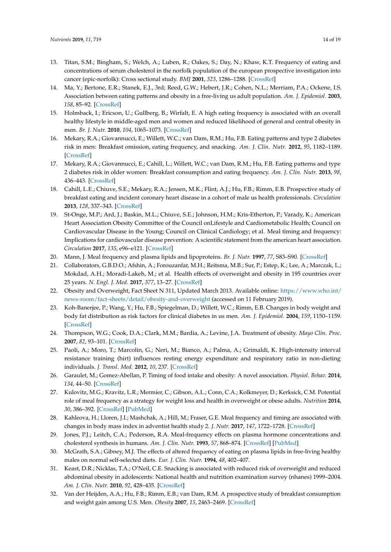- <span id="page-13-0"></span>13. Titan, S.M.; Bingham, S.; Welch, A.; Luben, R.; Oakes, S.; Day, N.; Khaw, K.T. Frequency of eating and concentrations of serum cholesterol in the norfolk population of the european prospective investigation into cancer (epic-norfolk): Cross sectional study. *BMJ* **2001**, *323*, 1286–1288. [\[CrossRef\]](http://dx.doi.org/10.1136/bmj.323.7324.1286)
- <span id="page-13-1"></span>14. Ma, Y.; Bertone, E.R.; Stanek, E.J., 3rd; Reed, G.W.; Hebert, J.R.; Cohen, N.L.; Merriam, P.A.; Ockene, I.S. Association between eating patterns and obesity in a free-living us adult population. *Am. J. Epidemiol.* **2003**, *158*, 85–92. [\[CrossRef\]](http://dx.doi.org/10.1093/aje/kwg117)
- <span id="page-13-2"></span>15. Holmback, I.; Ericson, U.; Gullberg, B.; Wirfalt, E. A high eating frequency is associated with an overall healthy lifestyle in middle-aged men and women and reduced likelihood of general and central obesity in men. *Br. J. Nutr.* **2010**, *104*, 1065–1073. [\[CrossRef\]](http://dx.doi.org/10.1017/S0007114510001753)
- <span id="page-13-3"></span>16. Mekary, R.A.; Giovannucci, E.; Willett, W.C.; van Dam, R.M.; Hu, F.B. Eating patterns and type 2 diabetes risk in men: Breakfast omission, eating frequency, and snacking. *Am. J. Clin. Nutr.* **2012**, *95*, 1182–1189. [\[CrossRef\]](http://dx.doi.org/10.3945/ajcn.111.028209)
- <span id="page-13-4"></span>17. Mekary, R.A.; Giovannucci, E.; Cahill, L.; Willett, W.C.; van Dam, R.M.; Hu, F.B. Eating patterns and type 2 diabetes risk in older women: Breakfast consumption and eating frequency. *Am. J. Clin. Nutr.* **2013**, *98*, 436–443. [\[CrossRef\]](http://dx.doi.org/10.3945/ajcn.112.057521)
- <span id="page-13-5"></span>18. Cahill, L.E.; Chiuve, S.E.; Mekary, R.A.; Jensen, M.K.; Flint, A.J.; Hu, F.B.; Rimm, E.B. Prospective study of breakfast eating and incident coronary heart disease in a cohort of male us health professionals. *Circulation* **2013**, *128*, 337–343. [\[CrossRef\]](http://dx.doi.org/10.1161/CIRCULATIONAHA.113.001474)
- <span id="page-13-6"></span>19. St-Onge, M.P.; Ard, J.; Baskin, M.L.; Chiuve, S.E.; Johnson, H.M.; Kris-Etherton, P.; Varady, K.; American Heart Association Obesity Committee of the Council onLifestyle and Cardiometabolic Health; Council on Cardiovascular Disease in the Young; Council on Clinical Cardiology; et al. Meal timing and frequency: Implications for cardiovascular disease prevention: A scientific statement from the american heart association. *Circulation* **2017**, *135*, e96–e121. [\[CrossRef\]](http://dx.doi.org/10.1161/CIR.0000000000000476)
- <span id="page-13-7"></span>20. Mann, J. Meal frequency and plasma lipids and lipoproteins. *Br. J. Nutr.* **1997**, *77*, S83–S90. [\[CrossRef\]](http://dx.doi.org/10.1079/BJN19970106)
- <span id="page-13-8"></span>21. Collaborators, G.B.D.O.; Afshin, A.; Forouzanfar, M.H.; Reitsma, M.B.; Sur, P.; Estep, K.; Lee, A.; Marczak, L.; Mokdad, A.H.; Moradi-Lakeh, M.; et al. Health effects of overweight and obesity in 195 countries over 25 years. *N. Engl. J. Med.* **2017**, *377*, 13–27. [\[CrossRef\]](http://dx.doi.org/10.1056/NEJMoa1614362)
- <span id="page-13-9"></span>22. Obesity and Overweight, Fact Sheet N 311, Updated March 2013. Available online: [https://www.who.int/](https://www.who.int/news-room/fact-sheets/detail/obesity-and-overweight) [news-room/fact-sheets/detail/obesity-and-overweight](https://www.who.int/news-room/fact-sheets/detail/obesity-and-overweight) (accessed on 11 February 2019).
- <span id="page-13-10"></span>23. Koh-Banerjee, P.; Wang, Y.; Hu, F.B.; Spiegelman, D.; Willett, W.C.; Rimm, E.B. Changes in body weight and body fat distribution as risk factors for clinical diabetes in us men. *Am. J. Epidemiol.* **2004**, *159*, 1150–1159. [\[CrossRef\]](http://dx.doi.org/10.1093/aje/kwh167)
- <span id="page-13-11"></span>24. Thompson, W.G.; Cook, D.A.; Clark, M.M.; Bardia, A.; Levine, J.A. Treatment of obesity. *Mayo Clin. Proc.* **2007**, *82*, 93–101. [\[CrossRef\]](http://dx.doi.org/10.1016/S0025-6196(11)60971-3)
- <span id="page-13-12"></span>25. Paoli, A.; Moro, T.; Marcolin, G.; Neri, M.; Bianco, A.; Palma, A.; Grimaldi, K. High-intensity interval resistance training (hirt) influences resting energy expenditure and respiratory ratio in non-dieting individuals. *J. Transl. Med.* **2012**, *10*, 237. [\[CrossRef\]](http://dx.doi.org/10.1186/1479-5876-10-237)
- <span id="page-13-13"></span>26. Garaulet, M.; Gomez-Abellan, P. Timing of food intake and obesity: A novel association. *Physiol. Behav.* **2014**, *134*, 44–50. [\[CrossRef\]](http://dx.doi.org/10.1016/j.physbeh.2014.01.001)
- <span id="page-13-14"></span>27. Kulovitz, M.G.; Kravitz, L.R.; Mermier, C.; Gibson, A.L.; Conn, C.A.; Kolkmeyer, D.; Kerksick, C.M. Potential role of meal frequency as a strategy for weight loss and health in overweight or obese adults. *Nutrition* **2014**, *30*, 386–392. [\[CrossRef\]](http://dx.doi.org/10.1016/j.nut.2013.08.009) [\[PubMed\]](http://www.ncbi.nlm.nih.gov/pubmed/24268866)
- <span id="page-13-15"></span>28. Kahleova, H.; Lloren, J.I.; Mashchak, A.; Hill, M.; Fraser, G.E. Meal frequency and timing are associated with changes in body mass index in adventist health study 2. *J. Nutr.* **2017**, *147*, 1722–1728. [\[CrossRef\]](http://dx.doi.org/10.3945/jn.116.244749)
- <span id="page-13-16"></span>29. Jones, P.J.; Leitch, C.A.; Pederson, R.A. Meal-frequency effects on plasma hormone concentrations and cholesterol synthesis in humans. *Am. J. Clin. Nutr.* **1993**, *57*, 868–874. [\[CrossRef\]](http://dx.doi.org/10.1093/ajcn/57.6.868) [\[PubMed\]](http://www.ncbi.nlm.nih.gov/pubmed/8503355)
- <span id="page-13-17"></span>30. McGrath, S.A.; Gibney, M.J. The effects of altered frequency of eating on plasma lipids in free-living healthy males on normal self-selected diets. *Eur. J. Clin. Nutr.* **1994**, *48*, 402–407.
- <span id="page-13-18"></span>31. Keast, D.R.; Nicklas, T.A.; O'Neil, C.E. Snacking is associated with reduced risk of overweight and reduced abdominal obesity in adolescents: National health and nutrition examination survey (nhanes) 1999–2004. *Am. J. Clin. Nutr.* **2010**, *92*, 428–435. [\[CrossRef\]](http://dx.doi.org/10.3945/ajcn.2009.28421)
- <span id="page-13-19"></span>32. Van der Heijden, A.A.; Hu, F.B.; Rimm, E.B.; van Dam, R.M. A prospective study of breakfast consumption and weight gain among U.S. Men. *Obesity* **2007**, *15*, 2463–2469. [\[CrossRef\]](http://dx.doi.org/10.1038/oby.2007.292)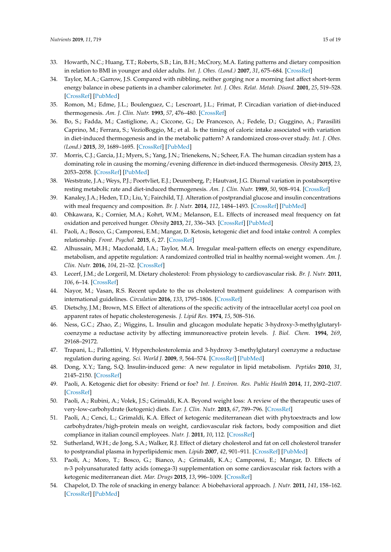- <span id="page-14-0"></span>33. Howarth, N.C.; Huang, T.T.; Roberts, S.B.; Lin, B.H.; McCrory, M.A. Eating patterns and dietary composition in relation to BMI in younger and older adults. *Int. J. Obes. (Lond.)* **2007**, *31*, 675–684. [\[CrossRef\]](http://dx.doi.org/10.1038/sj.ijo.0803456)
- <span id="page-14-1"></span>34. Taylor, M.A.; Garrow, J.S. Compared with nibbling, neither gorging nor a morning fast affect short-term energy balance in obese patients in a chamber calorimeter. *Int. J. Obes. Relat. Metab. Disord.* **2001**, *25*, 519–528. [\[CrossRef\]](http://dx.doi.org/10.1038/sj.ijo.0801572) [\[PubMed\]](http://www.ncbi.nlm.nih.gov/pubmed/11319656)
- <span id="page-14-2"></span>35. Romon, M.; Edme, J.L.; Boulenguez, C.; Lescroart, J.L.; Frimat, P. Circadian variation of diet-induced thermogenesis. *Am. J. Clin. Nutr.* **1993**, *57*, 476–480. [\[CrossRef\]](http://dx.doi.org/10.1093/ajcn/57.4.476)
- <span id="page-14-19"></span>36. Bo, S.; Fadda, M.; Castiglione, A.; Ciccone, G.; De Francesco, A.; Fedele, D.; Guggino, A.; Parasiliti Caprino, M.; Ferrara, S.; VezioBoggio, M.; et al. Is the timing of caloric intake associated with variation in diet-induced thermogenesis and in the metabolic pattern? A randomized cross-over study. *Int. J. Obes. (Lond.)* **2015**, *39*, 1689–1695. [\[CrossRef\]](http://dx.doi.org/10.1038/ijo.2015.138) [\[PubMed\]](http://www.ncbi.nlm.nih.gov/pubmed/26219416)
- <span id="page-14-3"></span>37. Morris, C.J.; Garcia, J.I.; Myers, S.; Yang, J.N.; Trienekens, N.; Scheer, F.A. The human circadian system has a dominating role in causing the morning/evening difference in diet-induced thermogenesis. *Obesity* **2015**, *23*, 2053–2058. [\[CrossRef\]](http://dx.doi.org/10.1002/oby.21189) [\[PubMed\]](http://www.ncbi.nlm.nih.gov/pubmed/26414564)
- <span id="page-14-4"></span>38. Weststrate, J.A.; Weys, P.J.; Poortvliet, E.J.; Deurenberg, P.; Hautvast, J.G. Diurnal variation in postabsorptive resting metabolic rate and diet-induced thermogenesis. *Am. J. Clin. Nutr.* **1989**, *50*, 908–914. [\[CrossRef\]](http://dx.doi.org/10.1093/ajcn/50.5.908)
- <span id="page-14-5"></span>39. Kanaley, J.A.; Heden, T.D.; Liu, Y.; Fairchild, T.J. Alteration of postprandial glucose and insulin concentrations with meal frequency and composition. *Br. J. Nutr.* **2014**, *112*, 1484–1493. [\[CrossRef\]](http://dx.doi.org/10.1017/S0007114514002128) [\[PubMed\]](http://www.ncbi.nlm.nih.gov/pubmed/25231499)
- <span id="page-14-6"></span>40. Ohkawara, K.; Cornier, M.A.; Kohrt, W.M.; Melanson, E.L. Effects of increased meal frequency on fat oxidation and perceived hunger. *Obesity* **2013**, *21*, 336–343. [\[CrossRef\]](http://dx.doi.org/10.1002/oby.20032) [\[PubMed\]](http://www.ncbi.nlm.nih.gov/pubmed/23404961)
- <span id="page-14-7"></span>41. Paoli, A.; Bosco, G.; Camporesi, E.M.; Mangar, D. Ketosis, ketogenic diet and food intake control: A complex relationship. *Front. Psychol.* **2015**, *6*, 27. [\[CrossRef\]](http://dx.doi.org/10.3389/fpsyg.2015.00027)
- <span id="page-14-8"></span>42. Alhussain, M.H.; Macdonald, I.A.; Taylor, M.A. Irregular meal-pattern effects on energy expenditure, metabolism, and appetite regulation: A randomized controlled trial in healthy normal-weight women. *Am. J. Clin. Nutr.* **2016**, *104*, 21–32. [\[CrossRef\]](http://dx.doi.org/10.3945/ajcn.115.125401)
- <span id="page-14-9"></span>43. Lecerf, J.M.; de Lorgeril, M. Dietary cholesterol: From physiology to cardiovascular risk. *Br. J. Nutr.* **2011**, *106*, 6–14. [\[CrossRef\]](http://dx.doi.org/10.1017/S0007114511000237)
- <span id="page-14-10"></span>44. Nayor, M.; Vasan, R.S. Recent update to the us cholesterol treatment guidelines: A comparison with international guidelines. *Circulation* **2016**, *133*, 1795–1806. [\[CrossRef\]](http://dx.doi.org/10.1161/CIRCULATIONAHA.116.021407)
- <span id="page-14-11"></span>45. Dietschy, J.M.; Brown, M.S. Effect of alterations of the specific activity of the intracellular acetyl coa pool on apparent rates of hepatic cholesterogenesis. *J. Lipid Res.* **1974**, *15*, 508–516.
- <span id="page-14-12"></span>46. Ness, G.C.; Zhao, Z.; Wiggins, L. Insulin and glucagon modulate hepatic 3-hydroxy-3-methylglutarylcoenzyme a reductase activity by affecting immunoreactive protein levels. *J. Biol. Chem.* **1994**, *269*, 29168–29172.
- 47. Trapani, L.; Pallottini, V. Hypercholesterolemia and 3-hydroxy 3-methylglutaryl coenzyme a reductase regulation during ageing. *Sci. World J.* **2009**, *9*, 564–574. [\[CrossRef\]](http://dx.doi.org/10.1100/tsw.2009.81) [\[PubMed\]](http://www.ncbi.nlm.nih.gov/pubmed/19578714)
- <span id="page-14-13"></span>48. Dong, X.Y.; Tang, S.Q. Insulin-induced gene: A new regulator in lipid metabolism. *Peptides* **2010**, *31*, 2145–2150. [\[CrossRef\]](http://dx.doi.org/10.1016/j.peptides.2010.07.020)
- <span id="page-14-14"></span>49. Paoli, A. Ketogenic diet for obesity: Friend or foe? *Int. J. Environ. Res. Public Health* **2014**, *11*, 2092–2107. [\[CrossRef\]](http://dx.doi.org/10.3390/ijerph110202092)
- 50. Paoli, A.; Rubini, A.; Volek, J.S.; Grimaldi, K.A. Beyond weight loss: A review of the therapeutic uses of very-low-carbohydrate (ketogenic) diets. *Eur. J. Clin. Nutr.* **2013**, *67*, 789–796. [\[CrossRef\]](http://dx.doi.org/10.1038/ejcn.2013.116)
- <span id="page-14-15"></span>51. Paoli, A.; Cenci, L.; Grimaldi, K.A. Effect of ketogenic mediterranean diet with phytoextracts and low carbohydrates/high-protein meals on weight, cardiovascular risk factors, body composition and diet compliance in italian council employees. *Nutr. J.* **2011**, *10*, 112. [\[CrossRef\]](http://dx.doi.org/10.1186/1475-2891-10-112)
- <span id="page-14-16"></span>52. Sutherland, W.H.; de Jong, S.A.; Walker, R.J. Effect of dietary cholesterol and fat on cell cholesterol transfer to postprandial plasma in hyperlipidemic men. *Lipids* **2007**, *42*, 901–911. [\[CrossRef\]](http://dx.doi.org/10.1007/s11745-007-3101-1) [\[PubMed\]](http://www.ncbi.nlm.nih.gov/pubmed/17680290)
- <span id="page-14-17"></span>53. Paoli, A.; Moro, T.; Bosco, G.; Bianco, A.; Grimaldi, K.A.; Camporesi, E.; Mangar, D. Effects of n-3 polyunsaturated fatty acids (omega-3) supplementation on some cardiovascular risk factors with a ketogenic mediterranean diet. *Mar. Drugs* **2015**, *13*, 996–1009. [\[CrossRef\]](http://dx.doi.org/10.3390/md13020996)
- <span id="page-14-18"></span>54. Chapelot, D. The role of snacking in energy balance: A biobehavioral approach. *J. Nutr.* **2011**, *141*, 158–162. [\[CrossRef\]](http://dx.doi.org/10.3945/jn.109.114330) [\[PubMed\]](http://www.ncbi.nlm.nih.gov/pubmed/21123465)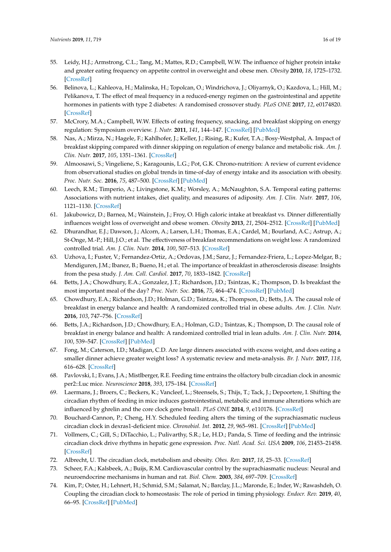- <span id="page-15-0"></span>55. Leidy, H.J.; Armstrong, C.L.; Tang, M.; Mattes, R.D.; Campbell, W.W. The influence of higher protein intake and greater eating frequency on appetite control in overweight and obese men. *Obesity* **2010**, *18*, 1725–1732. [\[CrossRef\]](http://dx.doi.org/10.1038/oby.2010.45)
- <span id="page-15-1"></span>56. Belinova, L.; Kahleova, H.; Malinska, H.; Topolcan, O.; Windrichova, J.; Oliyarnyk, O.; Kazdova, L.; Hill, M.; Pelikanova, T. The effect of meal frequency in a reduced-energy regimen on the gastrointestinal and appetite hormones in patients with type 2 diabetes: A randomised crossover study. *PLoS ONE* **2017**, *12*, e0174820. [\[CrossRef\]](http://dx.doi.org/10.1371/journal.pone.0174820)
- <span id="page-15-2"></span>57. McCrory, M.A.; Campbell, W.W. Effects of eating frequency, snacking, and breakfast skipping on energy regulation: Symposium overview. *J. Nutr.* **2011**, *141*, 144–147. [\[CrossRef\]](http://dx.doi.org/10.3945/jn.109.114918) [\[PubMed\]](http://www.ncbi.nlm.nih.gov/pubmed/21123468)
- <span id="page-15-3"></span>58. Nas, A.; Mirza, N.; Hagele, F.; Kahlhofer, J.; Keller, J.; Rising, R.; Kufer, T.A.; Bosy-Westphal, A. Impact of breakfast skipping compared with dinner skipping on regulation of energy balance and metabolic risk. *Am. J. Clin. Nutr.* **2017**, *105*, 1351–1361. [\[CrossRef\]](http://dx.doi.org/10.3945/ajcn.116.151332)
- <span id="page-15-4"></span>59. Almoosawi, S.; Vingeliene, S.; Karagounis, L.G.; Pot, G.K. Chrono-nutrition: A review of current evidence from observational studies on global trends in time-of-day of energy intake and its association with obesity. *Proc. Nutr. Soc.* **2016**, *75*, 487–500. [\[CrossRef\]](http://dx.doi.org/10.1017/S0029665116000306) [\[PubMed\]](http://www.ncbi.nlm.nih.gov/pubmed/27327252)
- <span id="page-15-5"></span>60. Leech, R.M.; Timperio, A.; Livingstone, K.M.; Worsley, A.; McNaughton, S.A. Temporal eating patterns: Associations with nutrient intakes, diet quality, and measures of adiposity. *Am. J. Clin. Nutr.* **2017**, *106*, 1121–1130. [\[CrossRef\]](http://dx.doi.org/10.3945/ajcn.117.156588)
- <span id="page-15-6"></span>61. Jakubowicz, D.; Barnea, M.; Wainstein, J.; Froy, O. High caloric intake at breakfast vs. Dinner differentially influences weight loss of overweight and obese women. *Obesity* **2013**, *21*, 2504–2512. [\[CrossRef\]](http://dx.doi.org/10.1002/oby.20460) [\[PubMed\]](http://www.ncbi.nlm.nih.gov/pubmed/23512957)
- <span id="page-15-7"></span>62. Dhurandhar, E.J.; Dawson, J.; Alcorn, A.; Larsen, L.H.; Thomas, E.A.; Cardel, M.; Bourland, A.C.; Astrup, A.; St-Onge, M.-P.; Hill, J.O.; et al. The effectiveness of breakfast recommendations on weight loss: A randomized controlled trial. *Am. J. Clin. Nutr.* **2014**, *100*, 507–513. [\[CrossRef\]](http://dx.doi.org/10.3945/ajcn.114.089573)
- <span id="page-15-8"></span>63. Uzhova, I.; Fuster, V.; Fernandez-Ortiz, A.; Ordovas, J.M.; Sanz, J.; Fernandez-Friera, L.; Lopez-Melgar, B.; Mendiguren, J.M.; Ibanez, B.; Bueno, H.; et al. The importance of breakfast in atherosclerosis disease: Insights from the pesa study. *J. Am. Coll. Cardiol.* **2017**, *70*, 1833–1842. [\[CrossRef\]](http://dx.doi.org/10.1016/j.jacc.2017.08.027)
- <span id="page-15-9"></span>64. Betts, J.A.; Chowdhury, E.A.; Gonzalez, J.T.; Richardson, J.D.; Tsintzas, K.; Thompson, D. Is breakfast the most important meal of the day? *Proc. Nutr. Soc.* **2016**, *75*, 464–474. [\[CrossRef\]](http://dx.doi.org/10.1017/S0029665116000318) [\[PubMed\]](http://www.ncbi.nlm.nih.gov/pubmed/27292940)
- 65. Chowdhury, E.A.; Richardson, J.D.; Holman, G.D.; Tsintzas, K.; Thompson, D.; Betts, J.A. The causal role of breakfast in energy balance and health: A randomized controlled trial in obese adults. *Am. J. Clin. Nutr.* **2016**, *103*, 747–756. [\[CrossRef\]](http://dx.doi.org/10.3945/ajcn.115.122044)
- <span id="page-15-10"></span>66. Betts, J.A.; Richardson, J.D.; Chowdhury, E.A.; Holman, G.D.; Tsintzas, K.; Thompson, D. The causal role of breakfast in energy balance and health: A randomized controlled trial in lean adults. *Am. J. Clin. Nutr.* **2014**, *100*, 539–547. [\[CrossRef\]](http://dx.doi.org/10.3945/ajcn.114.083402) [\[PubMed\]](http://www.ncbi.nlm.nih.gov/pubmed/24898233)
- <span id="page-15-11"></span>67. Fong, M.; Caterson, I.D.; Madigan, C.D. Are large dinners associated with excess weight, and does eating a smaller dinner achieve greater weight loss? A systematic review and meta-analysis. *Br. J. Nutr.* **2017**, *118*, 616–628. [\[CrossRef\]](http://dx.doi.org/10.1017/S0007114517002550)
- <span id="page-15-12"></span>68. Pavlovski, I.; Evans, J.A.; Mistlberger, R.E. Feeding time entrains the olfactory bulb circadian clock in anosmic per2::Luc mice. *Neuroscience* **2018**, *393*, 175–184. [\[CrossRef\]](http://dx.doi.org/10.1016/j.neuroscience.2018.10.009)
- 69. Laermans, J.; Broers, C.; Beckers, K.; Vancleef, L.; Steensels, S.; Thijs, T.; Tack, J.; Depoortere, I. Shifting the circadian rhythm of feeding in mice induces gastrointestinal, metabolic and immune alterations which are influenced by ghrelin and the core clock gene bmal1. *PLoS ONE* **2014**, *9*, e110176. [\[CrossRef\]](http://dx.doi.org/10.1371/journal.pone.0110176)
- 70. Bouchard-Cannon, P.; Cheng, H.Y. Scheduled feeding alters the timing of the suprachiasmatic nucleus circadian clock in dexras1-deficient mice. *Chronobiol. Int.* **2012**, *29*, 965–981. [\[CrossRef\]](http://dx.doi.org/10.3109/07420528.2012.707264) [\[PubMed\]](http://www.ncbi.nlm.nih.gov/pubmed/22928915)
- <span id="page-15-13"></span>71. Vollmers, C.; Gill, S.; DiTacchio, L.; Pulivarthy, S.R.; Le, H.D.; Panda, S. Time of feeding and the intrinsic circadian clock drive rhythms in hepatic gene expression. *Proc. Natl. Acad. Sci. USA* **2009**, *106*, 21453–21458. [\[CrossRef\]](http://dx.doi.org/10.1073/pnas.0909591106)
- <span id="page-15-14"></span>72. Albrecht, U. The circadian clock, metabolism and obesity. *Obes. Rev.* **2017**, *18*, 25–33. [\[CrossRef\]](http://dx.doi.org/10.1111/obr.12502)
- <span id="page-15-15"></span>73. Scheer, F.A.; Kalsbeek, A.; Buijs, R.M. Cardiovascular control by the suprachiasmatic nucleus: Neural and neuroendocrine mechanisms in human and rat. *Biol. Chem.* **2003**, *384*, 697–709. [\[CrossRef\]](http://dx.doi.org/10.1515/BC.2003.078)
- <span id="page-15-16"></span>74. Kim, P.; Oster, H.; Lehnert, H.; Schmid, S.M.; Salamat, N.; Barclay, J.L.; Maronde, E.; Inder, W.; Rawashdeh, O. Coupling the circadian clock to homeostasis: The role of period in timing physiology. *Endocr. Rev.* **2019**, *40*, 66–95. [\[CrossRef\]](http://dx.doi.org/10.1210/er.2018-00049) [\[PubMed\]](http://www.ncbi.nlm.nih.gov/pubmed/30169559)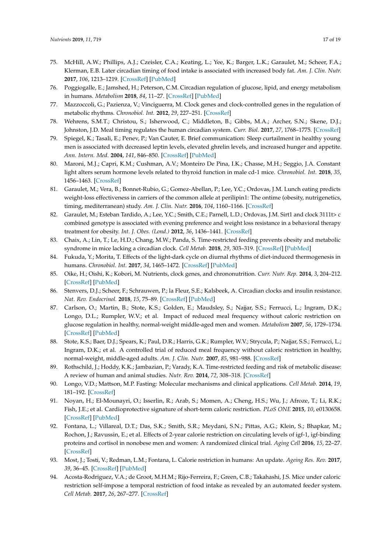- <span id="page-16-0"></span>75. McHill, A.W.; Phillips, A.J.; Czeisler, C.A.; Keating, L.; Yee, K.; Barger, L.K.; Garaulet, M.; Scheer, F.A.; Klerman, E.B. Later circadian timing of food intake is associated with increased body fat. *Am. J. Clin. Nutr.* **2017**, *106*, 1213–1219. [\[CrossRef\]](http://dx.doi.org/10.3945/ajcn.117.161588) [\[PubMed\]](http://www.ncbi.nlm.nih.gov/pubmed/28877894)
- <span id="page-16-1"></span>76. Poggiogalle, E.; Jamshed, H.; Peterson, C.M. Circadian regulation of glucose, lipid, and energy metabolism in humans. *Metabolism* **2018**, *84*, 11–27. [\[CrossRef\]](http://dx.doi.org/10.1016/j.metabol.2017.11.017) [\[PubMed\]](http://www.ncbi.nlm.nih.gov/pubmed/29195759)
- <span id="page-16-2"></span>77. Mazzoccoli, G.; Pazienza, V.; Vinciguerra, M. Clock genes and clock-controlled genes in the regulation of metabolic rhythms. *Chronobiol. Int.* **2012**, *29*, 227–251. [\[CrossRef\]](http://dx.doi.org/10.3109/07420528.2012.658127)
- <span id="page-16-3"></span>78. Wehrens, S.M.T.; Christou, S.; Isherwood, C.; Middleton, B.; Gibbs, M.A.; Archer, S.N.; Skene, D.J.; Johnston, J.D. Meal timing regulates the human circadian system. *Curr. Biol.* **2017**, *27*, 1768–1775. [\[CrossRef\]](http://dx.doi.org/10.1016/j.cub.2017.04.059)
- <span id="page-16-4"></span>79. Spiegel, K.; Tasali, E.; Penev, P.; Van Cauter, E. Brief communication: Sleep curtailment in healthy young men is associated with decreased leptin levels, elevated ghrelin levels, and increased hunger and appetite. *Ann. Intern. Med.* **2004**, *141*, 846–850. [\[CrossRef\]](http://dx.doi.org/10.7326/0003-4819-141-11-200412070-00008) [\[PubMed\]](http://www.ncbi.nlm.nih.gov/pubmed/15583226)
- <span id="page-16-5"></span>80. Maroni, M.J.; Capri, K.M.; Cushman, A.V.; Monteiro De Pina, I.K.; Chasse, M.H.; Seggio, J.A. Constant light alters serum hormone levels related to thyroid function in male cd-1 mice. *Chronobiol. Int.* **2018**, *35*, 1456–1463. [\[CrossRef\]](http://dx.doi.org/10.1080/07420528.2018.1488259)
- <span id="page-16-6"></span>81. Garaulet, M.; Vera, B.; Bonnet-Rubio, G.; Gomez-Abellan, P.; Lee, Y.C.; Ordovas, J.M. Lunch eating predicts weight-loss effectiveness in carriers of the common allele at perilipin1: The ontime (obesity, nutrigenetics, timing, mediterranean) study. *Am. J. Clin. Nutr.* **2016**, *104*, 1160–1166. [\[CrossRef\]](http://dx.doi.org/10.3945/ajcn.116.134528)
- <span id="page-16-7"></span>82. Garaulet, M.; Esteban Tardido, A.; Lee, Y.C.; Smith, C.E.; Parnell, L.D.; Ordovas, J.M. Sirt1 and clock 3111t> c combined genotype is associated with evening preference and weight loss resistance in a behavioral therapy treatment for obesity. *Int. J. Obes. (Lond.)* **2012**, *36*, 1436–1441. [\[CrossRef\]](http://dx.doi.org/10.1038/ijo.2011.270)
- <span id="page-16-8"></span>83. Chaix, A.; Lin, T.; Le, H.D.; Chang, M.W.; Panda, S. Time-restricted feeding prevents obesity and metabolic syndrome in mice lacking a circadian clock. *Cell Metab.* **2018**, *29*, 303–319. [\[CrossRef\]](http://dx.doi.org/10.1016/j.cmet.2018.08.004) [\[PubMed\]](http://www.ncbi.nlm.nih.gov/pubmed/30174302)
- <span id="page-16-9"></span>84. Fukuda, Y.; Morita, T. Effects of the light-dark cycle on diurnal rhythms of diet-induced thermogenesis in humans. *Chronobiol. Int.* **2017**, *34*, 1465–1472. [\[CrossRef\]](http://dx.doi.org/10.1080/07420528.2017.1362422) [\[PubMed\]](http://www.ncbi.nlm.nih.gov/pubmed/28960097)
- <span id="page-16-10"></span>85. Oike, H.; Oishi, K.; Kobori, M. Nutrients, clock genes, and chrononutrition. *Curr. Nutr. Rep.* **2014**, *3*, 204–212. [\[CrossRef\]](http://dx.doi.org/10.1007/s13668-014-0082-6) [\[PubMed\]](http://www.ncbi.nlm.nih.gov/pubmed/25101217)
- <span id="page-16-11"></span>86. Stenvers, D.J.; Scheer, F.; Schrauwen, P.; la Fleur, S.E.; Kalsbeek, A. Circadian clocks and insulin resistance. *Nat. Rev. Endocrinol.* **2018**, *15*, 75–89. [\[CrossRef\]](http://dx.doi.org/10.1038/s41574-018-0122-1) [\[PubMed\]](http://www.ncbi.nlm.nih.gov/pubmed/30531917)
- <span id="page-16-12"></span>87. Carlson, O.; Martin, B.; Stote, K.S.; Golden, E.; Maudsley, S.; Najjar, S.S.; Ferrucci, L.; Ingram, D.K.; Longo, D.L.; Rumpler, W.V.; et al. Impact of reduced meal frequency without caloric restriction on glucose regulation in healthy, normal-weight middle-aged men and women. *Metabolism* **2007**, *56*, 1729–1734. [\[CrossRef\]](http://dx.doi.org/10.1016/j.metabol.2007.07.018) [\[PubMed\]](http://www.ncbi.nlm.nih.gov/pubmed/17998028)
- <span id="page-16-13"></span>88. Stote, K.S.; Baer, D.J.; Spears, K.; Paul, D.R.; Harris, G.K.; Rumpler, W.V.; Strycula, P.; Najjar, S.S.; Ferrucci, L.; Ingram, D.K.; et al. A controlled trial of reduced meal frequency without caloric restriction in healthy, normal-weight, middle-aged adults. *Am. J. Clin. Nutr.* **2007**, *85*, 981–988. [\[CrossRef\]](http://dx.doi.org/10.1093/ajcn/85.4.981)
- <span id="page-16-14"></span>89. Rothschild, J.; Hoddy, K.K.; Jambazian, P.; Varady, K.A. Time-restricted feeding and risk of metabolic disease: A review of human and animal studies. *Nutr. Rev.* **2014**, *72*, 308–318. [\[CrossRef\]](http://dx.doi.org/10.1111/nure.12104)
- <span id="page-16-15"></span>90. Longo, V.D.; Mattson, M.P. Fasting: Molecular mechanisms and clinical applications. *Cell Metab.* **2014**, *19*, 181–192. [\[CrossRef\]](http://dx.doi.org/10.1016/j.cmet.2013.12.008)
- <span id="page-16-16"></span>91. Noyan, H.; El-Mounayri, O.; Isserlin, R.; Arab, S.; Momen, A.; Cheng, H.S.; Wu, J.; Afroze, T.; Li, R.K.; Fish, J.E.; et al. Cardioprotective signature of short-term caloric restriction. *PLoS ONE* **2015**, *10*, e0130658. [\[CrossRef\]](http://dx.doi.org/10.1371/journal.pone.0130658) [\[PubMed\]](http://www.ncbi.nlm.nih.gov/pubmed/26098549)
- <span id="page-16-17"></span>92. Fontana, L.; Villareal, D.T.; Das, S.K.; Smith, S.R.; Meydani, S.N.; Pittas, A.G.; Klein, S.; Bhapkar, M.; Rochon, J.; Ravussin, E.; et al. Effects of 2-year calorie restriction on circulating levels of igf-1, igf-binding proteins and cortisol in nonobese men and women: A randomized clinical trial. *Aging Cell* **2016**, *15*, 22–27. [\[CrossRef\]](http://dx.doi.org/10.1111/acel.12400)
- <span id="page-16-18"></span>93. Most, J.; Tosti, V.; Redman, L.M.; Fontana, L. Calorie restriction in humans: An update. *Ageing Res. Rev.* **2017**, *39*, 36–45. [\[CrossRef\]](http://dx.doi.org/10.1016/j.arr.2016.08.005) [\[PubMed\]](http://www.ncbi.nlm.nih.gov/pubmed/27544442)
- <span id="page-16-19"></span>94. Acosta-Rodriguez, V.A.; de Groot, M.H.M.; Rijo-Ferreira, F.; Green, C.B.; Takahashi, J.S. Mice under caloric restriction self-impose a temporal restriction of food intake as revealed by an automated feeder system. *Cell Metab.* **2017**, *26*, 267–277. [\[CrossRef\]](http://dx.doi.org/10.1016/j.cmet.2017.06.007)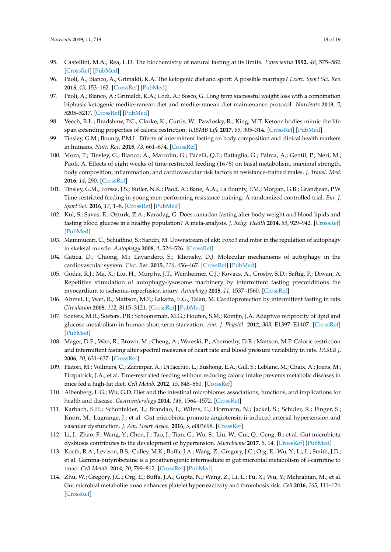- <span id="page-17-0"></span>95. Castellini, M.A.; Rea, L.D. The biochemistry of natural fasting at its limits. *Experientia* **1992**, *48*, 575–582. [\[CrossRef\]](http://dx.doi.org/10.1007/BF01920242) [\[PubMed\]](http://www.ncbi.nlm.nih.gov/pubmed/1612138)
- <span id="page-17-1"></span>96. Paoli, A.; Bianco, A.; Grimaldi, K.A. The ketogenic diet and sport: A possible marriage? *Exerc. Sport Sci. Rev.* **2015**, *43*, 153–162. [\[CrossRef\]](http://dx.doi.org/10.1249/JES.0000000000000050) [\[PubMed\]](http://www.ncbi.nlm.nih.gov/pubmed/25906427)
- <span id="page-17-2"></span>97. Paoli, A.; Bianco, A.; Grimaldi, K.A.; Lodi, A.; Bosco, G. Long term successful weight loss with a combination biphasic ketogenic mediterranean diet and mediterranean diet maintenance protocol. *Nutrients* **2013**, *5*, 5205–5217. [\[CrossRef\]](http://dx.doi.org/10.3390/nu5125205) [\[PubMed\]](http://www.ncbi.nlm.nih.gov/pubmed/24352095)
- <span id="page-17-3"></span>98. Veech, R.L.; Bradshaw, P.C.; Clarke, K.; Curtis, W.; Pawlosky, R.; King, M.T. Ketone bodies mimic the life span extending properties of caloric restriction. *IUBMB Life* **2017**, *69*, 305–314. [\[CrossRef\]](http://dx.doi.org/10.1002/iub.1627) [\[PubMed\]](http://www.ncbi.nlm.nih.gov/pubmed/28371201)
- <span id="page-17-4"></span>99. Tinsley, G.M.; Bounty, P.M.L. Effects of intermittent fasting on body composition and clinical health markers in humans. *Nutr. Rev.* **2015**, *73*, 661–674. [\[CrossRef\]](http://dx.doi.org/10.1093/nutrit/nuv041)
- <span id="page-17-5"></span>100. Moro, T.; Tinsley, G.; Bianco, A.; Marcolin, G.; Pacelli, Q.F.; Battaglia, G.; Palma, A.; Gentil, P.; Neri, M.; Paoli, A. Effects of eight weeks of time-restricted feeding (16/8) on basal metabolism, maximal strength, body composition, inflammation, and cardiovascular risk factors in resistance-trained males. *J. Transl. Med.* **2016**, *14*, 290. [\[CrossRef\]](http://dx.doi.org/10.1186/s12967-016-1044-0)
- <span id="page-17-6"></span>101. Tinsley, G.M.; Forsse, J.S.; Butler, N.K.; Paoli, A.; Bane, A.A.; La Bounty, P.M.; Morgan, G.B.; Grandjean, P.W. Time-restricted feeding in young men performing resistance training: A randomized controlled trial. *Eur. J. Sport Sci.* **2016**, *17*, 1–8. [\[CrossRef\]](http://dx.doi.org/10.1080/17461391.2016.1223173) [\[PubMed\]](http://www.ncbi.nlm.nih.gov/pubmed/27550719)
- <span id="page-17-7"></span>102. Kul, S.; Savas, E.; Ozturk, Z.A.; Karadag, G. Does ramadan fasting alter body weight and blood lipids and fasting blood glucose in a healthy population? A meta-analysis. *J. Relig. Health* **2014**, *53*, 929–942. [\[CrossRef\]](http://dx.doi.org/10.1007/s10943-013-9687-0) [\[PubMed\]](http://www.ncbi.nlm.nih.gov/pubmed/23423818)
- <span id="page-17-8"></span>103. Mammucari, C.; Schiaffino, S.; Sandri, M. Downstream of akt: Foxo3 and mtor in the regulation of autophagy in skeletal muscle. *Autophagy* **2008**, *4*, 524–526. [\[CrossRef\]](http://dx.doi.org/10.4161/auto.5905)
- <span id="page-17-9"></span>104. Gatica, D.; Chiong, M.; Lavandero, S.; Klionsky, D.J. Molecular mechanisms of autophagy in the cardiovascular system. *Circ. Res.* **2015**, *116*, 456–467. [\[CrossRef\]](http://dx.doi.org/10.1161/CIRCRESAHA.114.303788) [\[PubMed\]](http://www.ncbi.nlm.nih.gov/pubmed/25634969)
- <span id="page-17-10"></span>105. Godar, R.J.; Ma, X.; Liu, H.; Murphy, J.T.; Weinheimer, C.J.; Kovacs, A.; Crosby, S.D.; Saftig, P.; Diwan, A. Repetitive stimulation of autophagy-lysosome machinery by intermittent fasting preconditions the myocardium to ischemia-reperfusion injury. *Autophagy* **2015**, *11*, 1537–1560. [\[CrossRef\]](http://dx.doi.org/10.1080/15548627.2015.1063768)
- <span id="page-17-11"></span>106. Ahmet, I.; Wan, R.; Mattson, M.P.; Lakatta, E.G.; Talan, M. Cardioprotection by intermittent fasting in rats. *Circulation* **2005**, *112*, 3115–3121. [\[CrossRef\]](http://dx.doi.org/10.1161/CIRCULATIONAHA.105.563817) [\[PubMed\]](http://www.ncbi.nlm.nih.gov/pubmed/16275865)
- <span id="page-17-12"></span>107. Soeters, M.R.; Soeters, P.B.; Schooneman, M.G.; Houten, S.M.; Romijn, J.A. Adaptive reciprocity of lipid and glucose metabolism in human short-term starvation. *Am. J. Physiol.* **2012**, *303*, E1397–E1407. [\[CrossRef\]](http://dx.doi.org/10.1152/ajpendo.00397.2012) [\[PubMed\]](http://www.ncbi.nlm.nih.gov/pubmed/23074240)
- <span id="page-17-13"></span>108. Mager, D.E.; Wan, R.; Brown, M.; Cheng, A.; Wareski, P.; Abernethy, D.R.; Mattson, M.P. Caloric restriction and intermittent fasting alter spectral measures of heart rate and blood pressure variability in rats. *FASEB J.* **2006**, *20*, 631–637. [\[CrossRef\]](http://dx.doi.org/10.1096/fj.05-5263com)
- <span id="page-17-14"></span>109. Hatori, M.; Vollmers, C.; Zarrinpar, A.; DiTacchio, L.; Bushong, E.A.; Gill, S.; Leblanc, M.; Chaix, A.; Joens, M.; Fitzpatrick, J.A.; et al. Time-restricted feeding without reducing caloric intake prevents metabolic diseases in mice fed a high-fat diet. *Cell Metab.* **2012**, *15*, 848–860. [\[CrossRef\]](http://dx.doi.org/10.1016/j.cmet.2012.04.019)
- <span id="page-17-15"></span>110. Albenberg, L.G.; Wu, G.D. Diet and the intestinal microbiome: associations, functions, and implications for health and disease. *Gastroenterology* **2014**, *146*, 1564–1572. [\[CrossRef\]](http://dx.doi.org/10.1053/j.gastro.2014.01.058)
- <span id="page-17-16"></span>111. Karbach, S.H.; Schonfelder, T.; Brandao, I.; Wilms, E.; Hormann, N.; Jackel, S.; Schuler, R.; Finger, S.; Knorr, M.; Lagrange, J.; et al. Gut microbiota promote angiotensin ii-induced arterial hypertension and vascular dysfunction. *J. Am. Heart Assoc.* **2016**, *5*, e003698. [\[CrossRef\]](http://dx.doi.org/10.1161/JAHA.116.003698)
- <span id="page-17-17"></span>112. Li, J.; Zhao, F.; Wang, Y.; Chen, J.; Tao, J.; Tian, G.; Wu, S.; Liu, W.; Cui, Q.; Geng, B.; et al. Gut microbiota dysbiosis contributes to the development of hypertension. *Microbiome* **2017**, *5*, 14. [\[CrossRef\]](http://dx.doi.org/10.1186/s40168-016-0222-x) [\[PubMed\]](http://www.ncbi.nlm.nih.gov/pubmed/28143587)
- <span id="page-17-18"></span>113. Koeth, R.A.; Levison, B.S.; Culley, M.K.; Buffa, J.A.; Wang, Z.; Gregory, J.C.; Org, E.; Wu, Y.; Li, L.; Smith, J.D.; et al. Gamma-butyrobetaine is a proatherogenic intermediate in gut microbial metabolism of l-carnitine to tmao. *Cell Metab.* **2014**, *20*, 799–812. [\[CrossRef\]](http://dx.doi.org/10.1016/j.cmet.2014.10.006) [\[PubMed\]](http://www.ncbi.nlm.nih.gov/pubmed/25440057)
- <span id="page-17-19"></span>114. Zhu, W.; Gregory, J.C.; Org, E.; Buffa, J.A.; Gupta, N.; Wang, Z.; Li, L.; Fu, X.; Wu, Y.; Mehrabian, M.; et al. Gut microbial metabolite tmao enhances platelet hyperreactivity and thrombosis risk. *Cell* **2016**, *165*, 111–124. [\[CrossRef\]](http://dx.doi.org/10.1016/j.cell.2016.02.011)